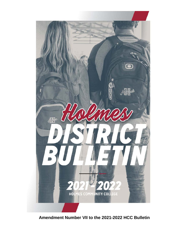

**Amendment Number VII to the 2021-2022 HCC Bulletin**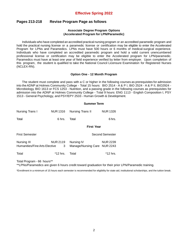# **Effective Spring 2022**

# **Pages 213-218 Revise Program Page as follows**

## **Associate Degree Program Options (Accelerated Program for LPN/Paramedic)**

Individuals who have completed an accredited practical nursing program or an accredited paramedic program and hold the practical nursing license or a paramedic license or certification may be eligible to enter the Accelerated Program for LPNs and Paramedics. LPNs must have 500 hours or 6 months of medical-surgical experience. Individuals who have completed an accredited paramedic program and hold a valid current unencumbered professional license or certification may be eligible to enter the Accelerated program for LPN/paramedic. Paramedics must have at least one year of field experience verified by letter from employer. Upon completion of this program, the student is qualified to take the National Council Licensure Examination for Registered Nurses (NCLEX-RN).

## **Option One - 12 Month Program**

The student must complete and pass with a C or higher in the following courses as prerequisites for admission into theADNP at Holmes Community College - Total 15 hours: BIO 2514 - A & P I, BIO 2524 - A & P II, BIO2924 - Microbiology, BIO 1613 or FCS 1253 - Nutrition, and a passing grade in the following courses as prerequisites for admission into the ADNP at Holmes Community College - Total 9 hours: ENG 1113 - English Composition I, PSY 1513 - General Psychology, and PSY/EPY 2533 - Human Growth & Development.

| Nursing Trans I                              | <b>NUR 1316</b>      | Nursing Trans II                           | <b>NUR 1326</b> |  |
|----------------------------------------------|----------------------|--------------------------------------------|-----------------|--|
| Total                                        | 6 hrs.               | Total                                      | 6 hrs.          |  |
|                                              |                      | <b>First Year</b>                          |                 |  |
| <b>First Semester</b>                        |                      | <b>Second Semester</b>                     |                 |  |
| Nursing III<br>Humanities/Fine Arts Elective | <b>NUR 2119</b><br>3 | Nursing IV<br>Manage/Nursing Care NUR 2243 | <b>NUR 2239</b> |  |
| Total                                        | *12 hrs.             | Total                                      | *12 hrs.        |  |

Total Program - 66 hours\*\*

\*\*LPNs/Paramedics are given 6 hours credit toward graduation for their prior LPN/Paramedic training.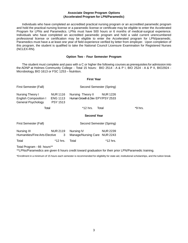## **Associate Degree Program Options (Accelerated Program for LPN/Paramedic)**

Individuals who have completed an accredited practical nursing program or an accredited paramedic program and hold the practical nursing license or a paramedic license or certificate may be eligible to enter the Accelerated Program for LPNs and Paramedics. LPNs must have 500 hours or 6 months of medical-surgical experience. Individuals who have completed an accredited paramedic program and hold a valid current unencumbered professional license or certification may be eligible to enter the Accelerated program for LPN/paramedic. Paramedics must have a at least one year of field experience verified by letter from employer. Upon completion of this program, the student is qualified to take the National Council Licensure Examination for Registered Nurses (NCLEX-RN).

#### **Option Two - Four Semester Program**

The student must complete and pass with a C or higher the following courses as prerequisites for admission into the ADNP at Holmes Community College - Total 15 hours: BIO 2514 - A & P I, BIO 2524 - A & P II, BIO2924 - Microbiology, BIO 1613 or FSC 1253 – Nutrition.

#### **First Year**

| First Semester (Fall)                                                  |                                                       | Second Semester (Spring)                             |                 |         |
|------------------------------------------------------------------------|-------------------------------------------------------|------------------------------------------------------|-----------------|---------|
| Nursing Theory I<br><b>English Composition I</b><br>General Psychology | <b>NUR 1116</b><br><b>ENG 1113</b><br><b>PSY 1513</b> | Nursing Theory II<br>Human Growth & Dev EPY/PSY 2533 | <b>NUR 1226</b> |         |
| Total                                                                  |                                                       | *12 hrs.                                             | Total           | *9 hrs. |
|                                                                        |                                                       | <b>Second Year</b>                                   |                 |         |
| First Semester (Fall)                                                  |                                                       | Second Semester (Spring)                             |                 |         |
| Nursing III                                                            | <b>NUR 2119</b>                                       | Nursing IV                                           | <b>NUR 2239</b> |         |
| Humanities/Fine Arts Elective                                          | 3                                                     | Manage/Nursing Care                                  | <b>NUR 2243</b> |         |

Total Program - 66 hours\*\*

\*\*LPNs/Paramedics are given 6 hours credit toward graduation for their prior LPN/Paramedic training.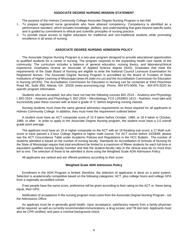#### **ASSOCIATE DEGREE NURSING MISSION STATEMENT**

The purpose of the Holmes Community College Associate Degree Nursing Program is two-fold:

- 1. To prepare registered nurse generalists who have attained competency. Competency is identified as a performance standard, which includes knowledge, abilities, and understanding that goes beyond specific tasks and is guided by commitment to ethical and scientific principles of nursing practice.
- 2. To provide equal access to higher education for traditional and non-traditional students while promoting excellence in all areas of nursing.

## **ASSOCIATE DEGREE NURSING ADMISSION POLICY**

The Associate Degree Nursing Program is a two-year program designed to provide educational opportunities to qualified students for a career in nursing. The program responds to the expanding health care needs of the community. The curriculum includes a balance of general education, nursing theory, and laboratory/clinical experience. Graduates receive an Associate of Applied Science degree (AAS). Graduates that meet the requirements of the State Board of Nursing are eligible to write the National Council Licensure Examination for Registered Nurses. The Associate Degree Nursing Program is accredited by the Board of Trustees of State Institutions of Higher Learning of Mississippi (www.ihl.state.ms.us) and the Accreditation Commission for Education in Nursing (ACEN). The Accreditation Commission for Education in Nursing can be contacted at 3343 Peachtree Road NE, Suite 850, Atlanta, GA 30326 (www.acenursing.org), Phone: 404-975-5000, Fax: 404-975-5020 for specific program information.

Students who are accepted, but who have not had the following courses BIO 2514 – Anatomy and Physiology I, BIO 2524 – Anatomy and Physiology II, BIO 2924 – Microbiology, FCS 1253/BIO 1613 – Nutrition, must take and successfully pass these courses with at least a grade of 'C' before beginning nursing classes.

Nursing students must meet the same general admission requirements as those required for all applicants to Holmes Community College. In addition, they must meet the requirement outlined below:

A student must have an ACT composite score of 15 if taken before October, 1989, or 18 if taken in October, 1989, or after. In order to apply to the Associate Degree Nursing program, the student must have a 2.0 overall grade point average.

The applicant must have an 18 or higher composite on the ACT with an 18 Reading sub-score; a 17 Math subscore or have passed a 3-hour College Algebra or higher math course. For ACT scores before 10/28/89, please see the ACT Concordance Table under Academic Policies and Regulations in the HCC Bulletin. The number of students admitted is based on the number of nursing faculty. Standards for Accreditation of Schools of Nursing for the State of Mississippi require that total enrollment be limited to a maximum of fifteen students for each full-time or equivalent qualified nursing faculty member and that the student-faculty ratio in the clinical area be no more than ten to one. The selection of those to be admitted is done using the Weighted Scale ADN Admission Policy.

All applicants are ranked and are offered positions according to their score.

## **Weighted Scale ADN Admission Policy**

Enrollment in the ADN Program is limited; therefore, the selection of applicants is done on a point system. Selection is academically competitive based on the following categories: ACT, plus college hours and college GPA from a regionally accredited school.

If two people have the same score, preference will be given according to their rating on the ACT or, these being equal, their GPA.

Notification of acceptance in the nursing program must come from the Associate Degree Nursing Program - not the Admissions Office.

An applicant must be in generally good health. Upon acceptance, satisfactory reports from a family physician will be required, as well as currently recommended immunizations, a drug screen, and TB skin test. Applicants must also be CPR certified, and pass a criminal background check.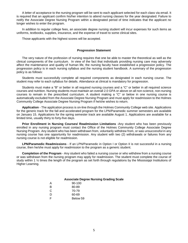A letter of acceptance to the nursing program will be sent to each applicant selected for each class via email. It is required that an applicant confirm his/her intention to attend nursing classes for the year designated. Failure to notify the Associate Degree Nursing Program within a designated period of time indicates that the applicant no longer wishes to enter the program.

In addition to regular college fees, an associate degree nursing student will incur expenses for such items as uniforms, textbooks, supplies, insurance, and the expense of travel to some clinical sites.

Those applicants with the highest scores will be accepted.

#### **Progression Statement**

The very nature of the profession of nursing requires that one be able to master the theoretical as well as the clinical components of the curriculum. In view of the fact that individuals providing nursing care may adversely affect the maintenance and quality of human life, the nursing faculty have established a progression policy. The progression policy is in each nursing syllabus and the nursing student handbook. A summary of the progression policy is as follows:

Students must successfully complete all required components as designated in each nursing course. The student may refer to each syllabus for details. Attendance at clinical is mandatory for progression.

Students must make a "B" or better in all required nursing courses and a "C" or better in all required science courses and nutrition. Nursing students must maintain an overall 2.0 GPA or above on all non-science, non-nursing courses to remain in the prescribed curriculum. A student making a "C" or below in one nursing course is automatically excluded from the Associate Degree Nursing Program and must apply for readmission to the Holmes Community College Associate Degree Nursing Program if he/she wishes to return.

**Application** - The application process is on-line through the Holmes Community College web site. Applications for the generic track for the fall and accelerated program for the LPN/Paramedic summer semesters are available on January 15. Applications for the spring semester track are available August 1. Applications are available for a limited time, usually thirty to forty-five days.

**Prior Enrollment in Nursing Courses/ Readmission Limitations** -Any student who has been previously enrolled in any nursing program must contact the Office of the Holmes Community College Associate Degree Nursing Program. Any student who has been withdrawn from, voluntarily withdrew from, or was unsuccessful in any nursing course has one opportunity for readmission. Any student with two (2) withdrawals or failures from any nursing course is not eligible for readmission.

**LPN/Paramedic Readmissions** - If an LPN/Paramedic in Option I or Option II is not successful in a nursing course, then he/she must apply for readmission to the program as a generic student.

**Completion of the Program** - Any student who failed a nursing course or who withdrew from a nursing course or was withdrawn from the nursing program may apply for readmission. The student must complete the course of study within 1 ½ times the length of the program as set forth through regulations by the Mississippi Institutions of Higher Learning.

#### **Associate Degree Nursing Grading Scale**

| А | $90-100$ |
|---|----------|
| в | 80-89    |
| C | 70-79    |
| D | 60-69    |
| F | Below 59 |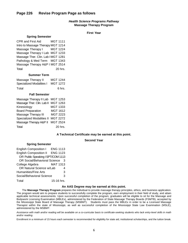# **Page 226 Revise Program Page as follows**

## *Health Science Programs Pathway* **Massage Therapy Program**

**First Year**

#### **Spring Semester**

CPR and First Aid MGT 1111 Intro to Massage Therapy MGT 1214 Massage Therapy I MGT 1224 Massage Therapy I Lab MGT 1233 Massage Ther. Clin. Lab I MGT 1281 Pathology & Med Term MGT 1343 Massage Therapy A&P I MGT 2514 Total 20 hrs.

## **Summer Term**

| Massage Therapy II       | <b>MGT 1244</b> |
|--------------------------|-----------------|
| Specialized Modalities I | <b>MGT 1272</b> |
| Total                    | 6 hrs.          |

## **Fall Semester**

| Massage Therapy II Lab           | <b>MGT 1253</b> |
|----------------------------------|-----------------|
| Massage Ther. Clin. Lab II       | <b>MGT 1263</b> |
| Kinesiology                      | MGT 1333        |
| <b>Board Preparation</b>         | MGT 1612        |
| Massage Therapy III              | MGT 2223        |
| <b>Specialized Modalities II</b> | <b>MGT 2272</b> |
| Massage Therapy A&P II           | <b>MGT 2524</b> |
| Total                            | 20 hrs.         |

#### **A Technical Certificate may be earned at this point.**

#### **Second Year**

| <b>English Composition I</b>        | <b>ENG 1113</b> |
|-------------------------------------|-----------------|
| <b>English Composition II</b>       | <b>ENG 1123</b> |
| OR Public Speaking ISPT/COM 1113    |                 |
| <b>OR Social/Behavioral Science</b> | 3               |
| College Algebra                     | <b>MAT 1313</b> |
| OR Natural Science w/Lab            |                 |
| <b>Humanities/Fine Arts</b>         | 3               |
| Social/Behavioral Science           | 3               |
| Total                               | 15-16 hrs.      |

 **Spring Semester**

#### **An AAS Degree may be earned at this point.**

The **Massage Therapy Program** prepares the individual to provide massage therapy principles, ethics, and business application. The program would aim to prepare students to successfully complete the program, earn employment in their field of study, and attain applicable technical assessments. Upon successful completion of the program, graduates will be eligible to sit for the Massage and Bodywork Licensing Examination (MBLEx), administered by the Federation of State Massage Therapy Boards (FSMTB), accepted by the Mississippi State Board of Massage Therapy (MSBMT). Students must pass the MBLEx in order to be a Licensed Massage Therapist within the state of Mississippi, as well as successful completion of the Mississippi State Law Examination (MSLE), administered by the MSBMT.

Assistance with math and/or reading will be available on a co-curricular basis to certificate-seeking students who lack entry-level skills in math *and/or reading.*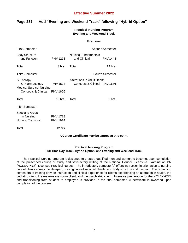# **Effective Summer 2022**

# **Page 237 Add "Evening and Weekend Track" following "Hybrid Option"**

**Practical Nursing Program Evening and Weekend Track**

#### **First Year**

| <b>First Semester</b>                                                                                  |                                                 | Second Semester                                             |                        |
|--------------------------------------------------------------------------------------------------------|-------------------------------------------------|-------------------------------------------------------------|------------------------|
| <b>Body Structure</b><br>and Function                                                                  | <b>PNV 1213</b>                                 | <b>Nursing Fundamentals</b><br>and Clinical                 | <b>PNV 1444</b>        |
| Total                                                                                                  | 3 hrs.                                          | Total                                                       | 14 hrs.                |
| <b>Third Semester</b>                                                                                  |                                                 |                                                             | <b>Fourth Semester</b> |
| <b>IV Therapy</b><br>& Pharmacology<br><b>Medical Surgical Nursing</b><br>Concepts & Clinical PNV 1666 | <b>PNV 1524</b>                                 | Alterations in Adult Health<br>Concepts & Clinical PNV 1676 |                        |
| Total                                                                                                  | 10 hrs.                                         | Total                                                       | 6 hrs.                 |
| <b>Fifth Semester</b>                                                                                  |                                                 |                                                             |                        |
| <b>Specialty Areas</b><br>in Nursing<br><b>Nursing Transition</b><br>Total                             | <b>PNV 1728</b><br><b>PNV 1914</b><br>$12$ hrs. |                                                             |                        |

## **A Career Certificate may be earned at this point.**

# **Practical Nursing Program Full Time Day Track, Hybrid Option, and Evening and Weekend Track**

The Practical Nursing program is designed to prepare qualified men and women to become, upon completion of the prescribed course of study and satisfactory writing of the National Council Licensure Examination PN (NCLEX-PN®), Licensed Practical Nurses. The introductory semester(s) offers instruction in orientation to nursing care of clients across the life-span, nursing care of selected clients, and body structure and function. The remaining semesters of training provide instruction and clinical experience for clients experiencing an alteration in health, the pediatric client, the maternal/newborn client, and the psychiatric client. Intensive preparation for the NCLEX-PN® and transitioning from student to employee is provided in the final semester. A certificate is awarded upon completion of the courses.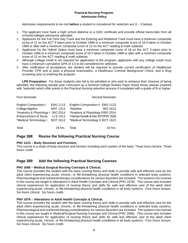# **Practical Nursing Program Admission Policy**

Admission requirements to be met **before** a student is considered for selection are (1 - 3 below):

- 1. The applicant must have a high school diploma or a GED certificate and provide official transcripts from all schools/colleges previously attended.
- 2. Applicants for the Full Time Day Track and the Evening and Weekend Track must have a minimum composite score of 12 on the ACT if taken prior to October 1989 or a minimum composite score of 16 if taken in October 1989 or after with a minimum composite score of 12 on the ACT reading & math subtests.
- 3. Applicants for the Hybrid Option must have a minimum composite score of 18 on the ACT if taken prior to October 1989 or a minimum composite score of 20 if taken in October 1989 or after with a minimum composite score of 12 on the ACT reading & math subtests.
- 4. Although college credit is not required for application to the program, applicants with any college credit must have a minimum cumulative GPA of 2.0 to be considered for selection.
- 5. After notification of acceptance, the student will be required to provide current certification of Healthcare Provider CPR and to pass a physical examination, a Healthcare Criminal Background Check, and a drug screening prior to entering the program.

**LPN Preparation:** For those students who fail to be admitted or who wish to enhance their chances of being admitted, the following sample year curriculum as a General College Studies major shows those classes (marked with \*asterisk) which offer points in the Practical Nursing selection process if completed with a grade of B or higher.

| <b>First Semester</b>        |                 | <b>Second Semester</b>            |                 |
|------------------------------|-----------------|-----------------------------------|-----------------|
| <b>English Composition I</b> | <b>ENG 1113</b> | English Composition II ENG 1123   |                 |
| College Algebra              | MAT 1313        | *Nutrition                        | <b>BIO 1613</b> |
| *Anatomy & Physiology I      | <b>BIO 2514</b> | *Anatomy & Physiology II BIO 2524 |                 |
| <b>Enhancement of Study</b>  | <b>LLS 1413</b> | *Human Growth & Dev EPY/PSY 2533  |                 |
| *Medical Terminology I       | <b>BOT 1613</b> | *Medical Terminology II BOT 1623  |                 |
| Total                        | 16 hrs.         | Total                             | 16 hrs.         |

# **Page 388 Revise the following Practical Nursing Course**

# **PNV 1213 – Body Structure and Function.**

This course is a study of body structure and function including each system of the body. Three hours lecture. Three hours credit.

# **Page 389 Add the following Practical Nursing Courses**

# **PNV 1666 – Medical Surgical Nursing Concepts & Clinical.**

This course provides the student with the basic nursing theory and skills to provide safe and effective care for the adult client experiencing acute, chronic, or life-threatening physical health conditions in selected body systems. Pharmacological and nutritional therapy considerations for various disorders are included. The systems not covered in this course are taught in Alterations in Adult Health Concepts and Clinical (PNV 1676). This course also includes clinical experiences for application of nursing theory and skills for safe and effective care of the adult client experiencing acute, chronic, or life-threatening physical health conditions in all body systems. Four hours lecture. Six hours clinical. Six hours credit.

# **PNV 1676 – Alterations in Adult Health Concepts & Clinical.**

This course provides the student with the basic nursing theory and skills to provide safe and effective care for the adult client experiencing acute, chronic, or life-threatening physical health conditions in selected body systems. Pharmacological and nutritional therapy considerations for various disorders are included. The systems not covered in this course are taught in Medical/Surgical Nursing Concepts and Clinical (PNV 1666). This course also includes clinical experiences for application of nursing theory and skills for safe and effective care of the adult client experiencing acute, chronic, or life-threatening physical health conditions in all body systems. Four hours lecture. Six hours clinical. Six hours credit.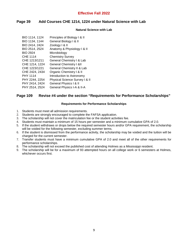# **Effective Fall 2022**

# **Page 39 Add Courses CHE 1214, 1224 under Natural Science with Lab**

# **Natural Science with Lab**

| BIO 1114, 1124  | Principles of Biology I & II       |
|-----------------|------------------------------------|
| BIO 1134, 1144  | General Biology I & II             |
| BIO 2414, 2424  | Zoology I & II                     |
| BIO 2514, 2524  | Anatomy & Physiology I & II        |
| <b>BIO 2924</b> | Microbiology                       |
| <b>CHE 1114</b> | <b>Chemistry Survey</b>            |
| CHE 1213/1211   | General Chemistry I & Lab          |
| CHE 1214, 1224  | <b>General Chemistry I &amp;II</b> |
| CHE 1223/1221   | General Chemistry II & Lab         |
| CHE 2424, 2434  | Organic Chemistry   & II           |
| <b>PHY 1114</b> | Introduction to Astronomy          |
| PHY 2244, 2254  | Physical Science Survey I & II     |
|                 |                                    |
| PHY 2414, 2424  | General Physics I & II             |
| PHY 2514, 2524  | General Physics I-A & II-A         |

# **Page 109 Revise #4 under the section "Requirements for Performance Scholarships"**

## **Requirements for Performance Scholarships**

- 1. Students must meet all admission requirements.
- 2. Students are strongly encouraged to complete the FAFSA application.
- 3. The scholarship will not cover the matriculation fee or the student activities fee.
- 4. Students must maintain a minimum of 15 hours per semester and a minimum cumulative GPA of 2.0.
- 5. If the student withdraws or drops below the required semester hours and/or GPA requirement, the scholarship will be voided for the following semester, excluding summer terms.
- 6. If the student is dismissed from the performance activity, the scholarship may be voided and the tuition will be charged for the current semester.
- 7. Transfer students must have a minimum cumulative GPA of 2.0 and meet all of the other requirements for performance scholarships.
- 8. The scholarship will not exceed the published cost of attending Holmes as a Mississippi resident.
- 9. The scholarship will be for a maximum of 93 attempted hours on all college work or 6 semesters at Holmes, whichever occurs first.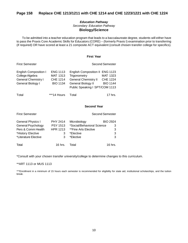# *Education Pathway Secondary Education Pathway* **Biology/Science**

To be admitted into a teacher education program that leads to a baccalaureate degree, students will either have to pass the Praxis Core Academic Skills for Educators (CORE) – (formerly Praxis I) examination prior to transferring (if required) OR have scored at least a 21 composite ACT equivalent (consult chosen transfer college for specifics).

# **First Year**

| <b>English Composition I</b> | <b>ENG 1113</b> | English Composition II ENG 1123 |                 |
|------------------------------|-----------------|---------------------------------|-----------------|
| College Algebra              | MAT 1313        | Trigonometry                    | <b>MAT 1323</b> |
| <b>General Chemistry I</b>   | CHE 1214        | <b>General Chemistry II</b>     | CHE 1224        |
| General Biology I            | <b>BIO 1134</b> | <b>General Biology II</b>       | <b>BIO 1144</b> |
|                              |                 | Public Speaking I SPT/COM 1113  |                 |
|                              |                 |                                 |                 |

Total **\*\*\*\*14 Hours** Total 17 hrs.

First Semester **Second Semester** Second Semester

**Second Year**

| <b>First Semester</b>    |                 |                            | <b>Second Semester</b> |
|--------------------------|-----------------|----------------------------|------------------------|
| <b>General Physics I</b> | <b>PHY 2414</b> | Microbiology               | <b>BIO 2924</b>        |
| General Psychology       | <b>PSY 1513</b> | *Social/Behavioral Science | 3                      |
| Pers & Comm Health       | <b>HPR 1213</b> | **Fine Arts Elective       | 3                      |
| *History Elective        | 3               | *Elective                  | 3                      |
| *Literature Elective     | 3               | *Elective                  | 3                      |
| Total                    | $16$ hrs.       | Total                      | 16 hrs.                |

\*Consult with your chosen transfer university/college to determine changes to this curriculum.

#### \*\*ART 1113 or MUS 1113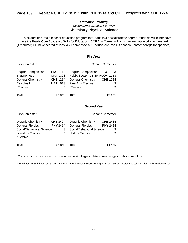# *Education Pathway Secondary Education Pathway* **Chemistry/Physical Science**

To be admitted into a teacher education program that leads to a baccalaureate degree, students will either have to pass the Praxis Core Academic Skills for Educators (CORE) – (formerly Praxis I) examination prior to transferring (if required) OR have scored at least a 21 composite ACT equivalent (consult chosen transfer college for specifics).

#### **First Year**

| <b>English Composition I</b> | <b>ENG 1113</b> | English Composition II ENG 1123 |                 |
|------------------------------|-----------------|---------------------------------|-----------------|
| Trigonometry                 | <b>MAT 1323</b> | Public Speaking I SPT/COM 1113  |                 |
| <b>General Chemistry I</b>   | <b>CHE 1214</b> | <b>General Chemistry II</b>     | <b>CHE 1224</b> |
| Calculus I                   | MAT 1613        | <b>Fine Arts Elective</b>       | 3               |
| *Elective                    | 3               | *Elective                       | 3               |
|                              |                 |                                 |                 |
| Total                        | 16 hrs.         | Total                           | 16 hrs.         |

First Semester **Second Semester** Second Semester

## **Second Year**

| <b>First Semester</b>                                                                                            |                                            |                                                                                                                  | Second Semester                |
|------------------------------------------------------------------------------------------------------------------|--------------------------------------------|------------------------------------------------------------------------------------------------------------------|--------------------------------|
| <b>Organic Chemistry I</b><br>General Physics I<br>Social/Behavioral Science<br>Literature Elective<br>*Elective | CHE 2424<br><b>PHY 2414</b><br>3<br>3<br>3 | <b>Organic Chemistry II</b><br><b>General Physics II</b><br>Social/Behavioral Science<br><b>History Elective</b> | CHE 2434<br>PHY 2424<br>3<br>3 |
| Total                                                                                                            | 17 hrs.                                    | Total                                                                                                            | **14 hrs                       |

\*Consult with your chosen transfer university/college to determine changes to this curriculum.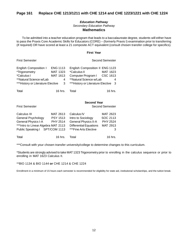# *Education Pathway Secondary Education Pathway* **Mathematics**

To be admitted into a teacher education program that leads to a baccalaureate degree, students will either have to pass the Praxis Core Academic Skills for Educators (CORE) – (formerly Praxis I) examination prior to transferring (if required) OR have scored at least a 21 composite ACT equivalent (consult chosen transfer college for specifics).

#### **First Year**

First Semester Second Semester Second Semester

| <b>English Composition I</b>      | <b>ENG 1113</b> | English Composition II ENG 1123       |          |
|-----------------------------------|-----------------|---------------------------------------|----------|
| *Trigonometry                     | MAT 1323        | *Calculus II                          | MAT 1623 |
| *Calculus I                       | MAT 1613        | Computer Program I CSC 1613           |          |
| **Natural Science w/Lab           | 4               | **Natural Science w/Lab               | 4        |
| ***History or Literature Elective |                 | 3 ***History or Literature Elective 3 |          |
| Total                             | 16 hrs.         | Total                                 | 16 hrs.  |

## **Second Year**

First Semester Second Semester Second Semester

| Calculus III<br>General Psychology<br>General Physics I-A<br>*** Intro to Linear Algebra MAT 2113<br>Public Speaking I SPT/COM 1113 | MAT 2613<br><b>PSY 1513</b><br>PHY 2514 | Calculus IV<br>Intro to Sociology<br><b>General Physics II-A</b><br><b>Differential Equations</b><br>***Fine Arts Elective | MAT 2623<br>SOC 2113<br><b>PHY 2524</b><br>MAT 2913<br>3 |
|-------------------------------------------------------------------------------------------------------------------------------------|-----------------------------------------|----------------------------------------------------------------------------------------------------------------------------|----------------------------------------------------------|
| Total                                                                                                                               | $16$ hrs.                               | Total                                                                                                                      | 16 hrs.                                                  |

\*\*\*Consult with your chosen transfer university/college to determine changes to this curriculum.

\*Students are strongly advised to take MAT 1323 Trigonometry prior to enrolling in the calculus sequence or prior to enrolling in MAT 1623 Calculus II.

\*\*BIO 1134 & BIO 1144 **or** CHE 1214 & CHE 1224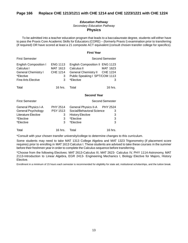# *Education Pathway Secondary Education Pathway* **Physics**

To be admitted into a teacher education program that leads to a baccalaureate degree, students will either have to pass the Praxis Core Academic Skills for Educators (CORE) – (formerly Praxis I) examination prior to transferring (if required) OR have scored at least a 21 composite ACT equivalent (consult chosen transfer college for specifics).

#### **First Year**

| <b>First Semester</b>                                                                                              |                                                   |                                                                                                                                | Second Semester        |
|--------------------------------------------------------------------------------------------------------------------|---------------------------------------------------|--------------------------------------------------------------------------------------------------------------------------------|------------------------|
| <b>English Composition I</b><br>Calculus I<br><b>General Chemistry I</b><br>*Elective<br><b>Fine Arts Elective</b> | <b>ENG 1113</b><br>MAT 1613<br>CHE 1214<br>3<br>3 | English Composition II ENG 1123<br>Calculus II<br>General Chemistry II CHE 1224<br>Public Speaking I SPT/COM 1113<br>*Elective | MAT 1623<br>3          |
| Total                                                                                                              | $16$ hrs.                                         | Total                                                                                                                          | 16 hrs.                |
|                                                                                                                    |                                                   | <b>Second Year</b>                                                                                                             |                        |
| <b>First Semester</b>                                                                                              |                                                   |                                                                                                                                | <b>Second Semester</b> |
| General Physics I-A<br>General Psychology<br>Literature Elective<br>*Elective<br>*Elective                         | PHY 2514<br><b>PSY 1513</b><br>3<br>3<br>3        | General Physics II-A PHY 2524<br>Social/Behavioral Science<br><b>History Elective</b><br>*Elective<br>*Elective                | 3<br>3<br>3<br>3       |
| Total                                                                                                              | 16 hrs.                                           | Total                                                                                                                          | 16 hrs.                |

\*Consult with your chosen transfer university/college to determine changes to this curriculum.

Some students may need to take MAT 1313 College Algebra and MAT 1323 Trigonometry (if placement score requires) prior to enrolling in MAT 1613 Calculus I. These students are advised to take these courses in the summer before their freshmen year in order to complete the Calculus sequence before transferring.

\*Choose from the following Electives: MAT 2613-Calculus III, MAT 2623- Calculus IV, PHY 1114-Astronomy, MAT 2113-Introduction to Linear Algebra, EGR 2413- Engineering Mechanics I, Biology Elective for Majors, History Elective.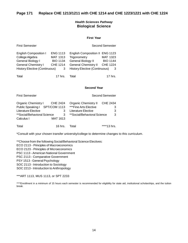# *Health Sciences Pathway* **Biological Science**

## **First Year**

| <b>First Semester</b>                                                                                                                      |                                                                        |                                                                                                                                              | <b>Second Semester</b>                              |
|--------------------------------------------------------------------------------------------------------------------------------------------|------------------------------------------------------------------------|----------------------------------------------------------------------------------------------------------------------------------------------|-----------------------------------------------------|
| <b>English Composition I</b><br>College Algebra<br>General Biology I<br><b>General Chemistry I</b><br><b>History Elective (Continuous)</b> | <b>ENG 1113</b><br>MAT 1313<br><b>BIO 1134</b><br><b>CHE 1214</b><br>3 | English Composition II ENG 1123<br>Trigonometry<br>General Biology II<br><b>General Chemistry II</b><br><b>History Elective (Continuous)</b> | MAT 1323<br><b>BIO 1144</b><br><b>CHE 1224</b><br>3 |
| Total                                                                                                                                      | $17$ hrs.                                                              | Total                                                                                                                                        | $17$ hrs.                                           |

## **Second Year**

| <b>First Semester</b>                                                                      |                      |                                                                             | Second Semester    |
|--------------------------------------------------------------------------------------------|----------------------|-----------------------------------------------------------------------------|--------------------|
| <b>Organic Chemistry I</b><br>Public Speaking I SPT/COM 1113<br><b>Literature Elective</b> | <b>CHE 2424</b><br>3 | <b>Organic Chemistry II</b><br>***Fine Arts Elective<br>Literature Elective | CHE 2434<br>3<br>3 |
| **Social/Behavioral Science<br>Calculus I                                                  | 3<br>MAT 1613        | **Social/Behavioral Science*                                                | 3                  |
| Total                                                                                      | 16 hrs.              | Total                                                                       |                    |

\*Consult with your chosen transfer university/college to determine changes to this curriculum.

\*\*Choose from the following Social/Behavioral Science Electives:

ECO 2113 - Principles of Macroeconomics

ECO 2123 - Principles of Microeconomics

PSC 1113 - American National Government

PSC 2113 - Comparative Government

PSY 1513 - General Psychology

SOC 2113 - Introduction to Sociology

SOC 2213 - Introduction to Anthropology

\*\*\*ART 1113, MUS 1113, or SPT 2233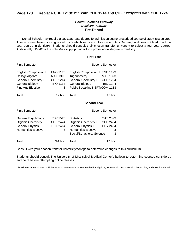# **Page 173 Replace CHE 1213/1211 with CHE 1214 and CHE 1223/1221 with CHE 1224**

# *Health Sciences Pathway Dentistry Pathway* **Pre-Dental**

Dental Schools may require a baccalaureate degree for admission but no prescribed course of study is stipulated. The curriculum below is a suggested guide which leads to an Associate of Arts Degree, but it does not lead to a fouryear degree in dentistry. Students should consult their chosen transfer university to select a four-year degree. Additionally, UMMC is the sole Mississippi provider for a professional degree in dentistry.

#### **First Year**

| <b>English Composition I</b><br>College Algebra<br><b>General Chemistry I</b><br>General Biology I<br><b>Fine Arts Elective</b> | <b>ENG 1113</b><br>MAT 1313<br>CHE 1214<br><b>BIO 1134</b><br>3 | English Composition II ENG 1123<br>Trigonometry<br>General Chemistry II<br>General Biology II BIO 1144<br>Public Speaking I SPT/COM 1113 | <b>MAT 1323</b><br><b>CHE 1224</b>                       |
|---------------------------------------------------------------------------------------------------------------------------------|-----------------------------------------------------------------|------------------------------------------------------------------------------------------------------------------------------------------|----------------------------------------------------------|
|                                                                                                                                 |                                                                 |                                                                                                                                          |                                                          |
| Total                                                                                                                           | 17 hrs.                                                         | Total                                                                                                                                    | 17 hrs.                                                  |
|                                                                                                                                 |                                                                 | <b>Second Year</b>                                                                                                                       |                                                          |
| <b>First Semester</b>                                                                                                           |                                                                 |                                                                                                                                          | Second Semester                                          |
|                                                                                                                                 |                                                                 |                                                                                                                                          |                                                          |
| General Psychology<br><b>Organic Chemistry I</b><br>General Physics I<br><b>Humanities Elective</b>                             | <b>PSY 1513</b><br>CHE 2424<br>PHY 2414<br>3                    | <b>Statistics</b><br>Organic Chemistry II<br><b>General Physics II</b><br><b>Humanities Elective</b><br>Social/Behavioral Science        | <b>MAT 2323</b><br><b>CHE 2434</b><br>PHY 2424<br>3<br>3 |

First Semester Second Semester

Consult with your chosen transfer university/college to determine changes to this curriculum.

Students should consult The University of Mississippi Medical Center's bulletin to determine courses considered end point before attempting online classes.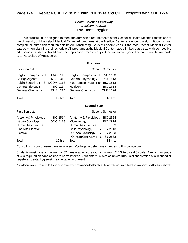# **Page 174 Replace CHE 1213/1211 with CHE 1214 and CHE 1223/1221 with CHE 1224**

# *Health Sciences Pathway Dentistry Pathway* **Pre-Dental Hygiene**

This curriculum is designed to meet the admission requirements of the School of Health Related Professions at the University of Mississippi Medical Center. All programs at the Medical Center are upper division. Students must complete all admission requirements before transferring. Students should consult the most recent Medical Center catalog when planning their schedule. All programs at the Medical Center have a limited class size with competitive admissions. Students should start the application process early in their sophomore year. The curriculum below leads to an Associate of Arts Degree.

#### **First Year**

| <b>First Semester</b>                                                                                                                |                                                                   |                                                                                                                                                                                     | Second Semester                                                          |
|--------------------------------------------------------------------------------------------------------------------------------------|-------------------------------------------------------------------|-------------------------------------------------------------------------------------------------------------------------------------------------------------------------------------|--------------------------------------------------------------------------|
| <b>English Composition I</b><br>College Algebra<br>Public Speaking I SPT/COM 1113<br>General Biology I<br><b>General Chemistry I</b> | <b>ENG 1113</b><br>MAT 1313<br><b>BIO 1134</b><br><b>CHE 1214</b> | <b>English Composition II</b><br>General Psychology<br>Med Term for Health Prof BIO 1813<br><b>Nutrition</b><br><b>General Chemistry II</b>                                         | <b>ENG 1123</b><br><b>PSY 1513</b><br><b>BIO 1613</b><br><b>CHE 1224</b> |
| Total                                                                                                                                | 17 hrs.                                                           | Total                                                                                                                                                                               | 16 hrs.                                                                  |
|                                                                                                                                      |                                                                   | <b>Second Year</b>                                                                                                                                                                  |                                                                          |
| <b>First Semester</b>                                                                                                                |                                                                   |                                                                                                                                                                                     | Second Semester                                                          |
| Anatomy & Physiology I<br>Intro to Sociology<br><b>Humanities Elective</b><br><b>Fine Arts Elective</b><br>Elective                  | <b>BIO 2514</b><br>SOC 2113<br>3<br>3<br>3                        | Anatomy & Physiology II BIO 2524<br>Microbiology<br><b>Humanities Elective</b><br>Child Psychology EPY/PSY 2513<br>OR Adol Psychology EPY/PSY 2523<br>OR Hum Grwth/Dev EPY/PSY 2533 | <b>BIO 2924</b><br>3                                                     |
| Total                                                                                                                                | 16 hrs.                                                           | Total                                                                                                                                                                               | *14 hrs.                                                                 |

Consult with your chosen transfer university/college to determine changes to this curriculum.

Students must have a minimum of 57 transferable hours with a minimum 2.5 GPA on a 4.0 scale. A minimum grade of C is required on each course to be transferred. Students must also complete 8 hours of observation of a licensed or registered dental hygienist in a clinical environment.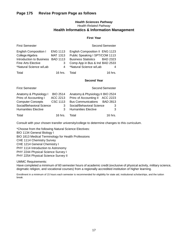# *Health Sciences Pathway Health-Related Pathway* **Health Informatics & Information Management**

## **First Year**

| <b>First Semester</b>                                                                                                                  |                                                                 | Second Semester                                                                                                                                                                          |  |
|----------------------------------------------------------------------------------------------------------------------------------------|-----------------------------------------------------------------|------------------------------------------------------------------------------------------------------------------------------------------------------------------------------------------|--|
| <b>English Composition I</b><br>College Algebra<br>Introduction to Business<br>Fine Arts Elective<br>*Natural Science w/Lab            | <b>ENG 1113</b><br><b>MAT 1313</b><br><b>BAD 1113</b><br>3<br>4 | English Composition II ENG 1123<br>Public Speaking I SPT/COM 1113<br><b>Business Statistics</b><br><b>BAD 2323</b><br>Comp App in Bus & Ind BAD 2533<br>*Natural Science w/Lab<br>4      |  |
| Total                                                                                                                                  | $16$ hrs.                                                       | 16 hrs.<br>Total                                                                                                                                                                         |  |
|                                                                                                                                        |                                                                 | <b>Second Year</b>                                                                                                                                                                       |  |
|                                                                                                                                        |                                                                 |                                                                                                                                                                                          |  |
| First Semester                                                                                                                         |                                                                 | Second Semester                                                                                                                                                                          |  |
| Anatomy & Physiology I<br>Princ of Accounting I<br><b>Computer Concepts</b><br>Social/Behavioral Science<br><b>Humanities Elective</b> | <b>BIO 2514</b><br>ACC 2213<br>CSC 1113<br>3<br>3               | Anatomy & Physiology II BIO 2524<br>Princ of Accounting II ACC 2223<br><b>Bus Communications</b><br><b>BAD 2813</b><br>Social/Behavioral Science<br>3<br>3<br><b>Humanities Elective</b> |  |

Consult with your chosen transfer university/college to determine changes to this curriculum.

\*Choose from the following Natural Science Electives: BIO 1134 General Biology I BIO 1813 Medical Terminology for Health Professions CHE 1114 Chemistry Survey CHE 1214 General Chemistry I PHY 1114 Introduction to Astronomy PHY 2244 Physical Science Survey I PHY 2254 Physical Science Survey II

UMMC Requirements:

Have completed a minimum of 60 semester hours of academic credit (exclusive of physical activity, military science, dogmatic religion, and vocational courses) from a regionally accredited institution of higher learning.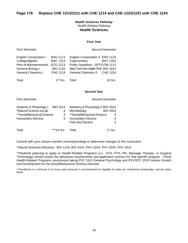# *Health Sciences Pathway Health-Related Pathway* **Health Sciences**

## **First Year**

| <b>English Composition I</b>   | <b>ENG 1113</b> | English Composition II ENG 1123   |                 |
|--------------------------------|-----------------|-----------------------------------|-----------------|
| College Algebra                | MAT 1313        | Trigonometry                      | <b>MAT 1323</b> |
| <b>Princ of Macroeconomics</b> | ECO 2113        | Public Speaking I SPT/COM 1113    |                 |
| General Biology I              | <b>BIO 1134</b> | Med Term for Health Prof BIO 1813 |                 |
| <b>General Chemistry I</b>     | CHE 1214        | <b>General Chemistry II</b>       | CHE 1224        |
|                                |                 |                                   |                 |
| Total                          | $17$ hrs.       | Total                             | $16$ hrs.       |
|                                |                 |                                   |                 |

First Semester Second Semester Second Semester

#### **Second Year**

| <b>First Semester</b>                            |                      |                                                  | Second Semester |
|--------------------------------------------------|----------------------|--------------------------------------------------|-----------------|
| Anatomy & Physiology I<br>*Natural Science w/Lab | <b>BIO 2514</b><br>4 | Anatomy & Physiology II BIO 2524<br>Microbiology | <b>BIO 2924</b> |
| **Social/Behavioral Science*                     | 3                    | **Social/Behavioral Science                      | 3               |
| <b>Humanities Elective</b>                       | 3                    | <b>Humanities Elective</b>                       | 3               |
|                                                  |                      | <b>Fine Arts Elective</b>                        | 3               |
| Total                                            | $***14$ hrs          | Total                                            | $17$ hrs.       |

Consult with your chosen transfer university/college to determine changes to this curriculum.

\*Natural Sciences Electives: BIO 1144, BIO 2414, PHY 2244, PHY 2254, PHY 2414

\*\*Students planning to apply to Health-Related Programs (i.e., OTA, PTA, PN, Massage Therapy, or Surgical Technology) should review the admission requirements and application process for that specific program. These Health-Related Programs recommend taking PSY 1513 General Psychology and PSY/EPY 2533 Human Growth and Development for the Social/Behavioral Science electives.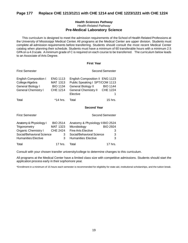# **Page 177 Replace CHE 1213/1211 with CHE 1214 and CHE 1223/1221 with CHE 1224**

# *Health Sciences Pathway Health-Related Pathway* **Pre-Medical Laboratory Science**

This curriculum is designed to meet the admission requirements of the School of Health Related Professions at the University of Mississippi Medical Center. All programs at the Medical Center are upper division. Students must complete all admission requirements before transferring. Students should consult the most recent Medical Center catalog when planning their schedule. Students must have a minimum of 60 transferable hours with a minimum 2.5 GPAon a 4.0 scale. A minimum grade of C is required on each course to be transferred. The curriculum below leads to an Associate of Arts Degree.

#### **First Year**

| <b>First Semester</b>                                                                              |                                                                   |                                                                                                                                           | Second Semester                    |
|----------------------------------------------------------------------------------------------------|-------------------------------------------------------------------|-------------------------------------------------------------------------------------------------------------------------------------------|------------------------------------|
| <b>English Composition I</b><br>College Algebra<br>General Biology I<br><b>General Chemistry I</b> | <b>ENG 1113</b><br>MAT 1313<br><b>BIO 1134</b><br><b>CHE 1214</b> | English Composition II ENG 1123<br>Public Speaking I SPT/COM 1113<br><b>General Biology II</b><br><b>General Chemistry II</b><br>Elective | <b>BIO 1144</b><br><b>CHE 1224</b> |
| Total                                                                                              | *14 hrs.                                                          | Total                                                                                                                                     | 15 hrs.                            |

#### **Second Year**

| <b>First Semester</b>      |                 |                                  | <b>Second Semester</b> |
|----------------------------|-----------------|----------------------------------|------------------------|
| Anatomy & Physiology I     | <b>BIO 2514</b> | Anatomy & Physiology II BIO 2524 |                        |
| Trigonometry               | MAT 1323        | Microbiology                     | <b>BIO 2924</b>        |
| <b>Organic Chemistry I</b> | <b>CHE 2424</b> | <b>Fine Arts Elective</b>        | 3                      |
| Social/Behavioral Science  | 3               | Social/Behavioral Science        | 3                      |
| <b>Humanities Elective</b> | 3               | <b>Humanities Elective</b>       | 3                      |
| Total                      | $17$ hrs.       | Total                            | $17$ hrs.              |

Consult with your chosen transfer university/college to determine changes to this curriculum.

All programs at the Medical Center have a limited class size with competitive admissions. Students should start the application process early in their sophomore year.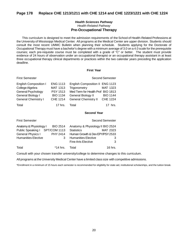# **Page 178 Replace CHE 1213/1211 with CHE 1214 and CHE 1223/1221 with CHE 1224**

# *Health Sciences Pathway Health-Related Pathway* **Pre-Occupational Therapy**

This curriculum is designed to meet the admission requirements of the School of Health-Related Professions at the University of Mississippi Medical Center. All programs at the Medical Center are upper division. Students should consult the most recent UMMC Bulletin when planning their schedule. Students applying for the Doctorate of Occupational Therapy must have a bachelor's degree with a minimum average of 3.0 on a 4.0 scale for the prerequisite courses; each pre-requisite course must be completed with a grade of "C" or better. The student must provide evidence of 24 hours of observation under an occupational therapist or an occupational therapy assistant in at least three occupational therapy clinical departments or practices within the two calendar years preceding the application deadline.

#### **First Year**

| <b>First Semester</b>        |                        |                                   | <b>Second Semester</b> |
|------------------------------|------------------------|-----------------------------------|------------------------|
| <b>English Composition I</b> | <b>ENG 1113</b>        | English Composition II ENG 1123   |                        |
| College Algebra              | MAT 1313               | Trigonometry                      | <b>MAT 1323</b>        |
| General Psychology           | <b>PSY 1513</b>        | Med Term for Health Prof BIO 1813 |                        |
| General Biology I            | <b>BIO 1134</b>        | <b>General Biology II</b>         | <b>BIO 1144</b>        |
| <b>General Chemistry I</b>   | <b>CHE 1214</b>        | <b>General Chemistry II</b>       | <b>CHE 1224</b>        |
| Total                        | 17 hrs. $\overline{a}$ | Total                             | 17 hrs.                |

## **Second Year**

| <b>First Semester</b>                                                                                                |               |                                                                                                                                                     | <b>Second Semester</b> |
|----------------------------------------------------------------------------------------------------------------------|---------------|-----------------------------------------------------------------------------------------------------------------------------------------------------|------------------------|
| Anatomy & Physiology I BIO 2514<br>Public Speaking I SPT/COM 1113<br>General Physics I<br><b>Humanities Elective</b> | PHY 2414<br>3 | Anatomy & Physiology II BIO 2524<br><b>Statistics</b><br>Human Growth & Dev EPY/PSY 2533<br><b>Humanities Elective</b><br><b>Fine Arts Elective</b> | MAT 2323<br>3<br>3     |
| Total                                                                                                                | *14 hrs.      | Total                                                                                                                                               | 16 hrs.                |

Consult with your chosen transfer university/college to determine changes to this curriculum.

All programs at the University Medical Center have a limited class size with competitive admissions.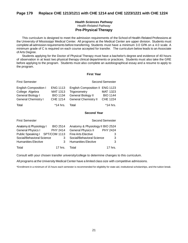# *Health Sciences Pathway Health-Related Pathway* **Pre-Physical Therapy**

This curriculum is designed to meet the admission requirements of the School of Health-Related Professions at the University of Mississippi Medical Center. All programs at the Medical Center are upper division. Students must complete all admission requirements before transferring. Students must have a minimum 3.0 GPA on a 4.0 scale. A minimum grade of C is required on each course accepted for transfer. The curriculum below leads to an Associate of Arts Degree.

Students applying for the Doctor of Physical Therapy must have a bachelor's degree and evidence of 40 hours of observation in at least two physical therapy clinical departments or practices. Students must also take the GRE before applying to the program. Students must also complete an autobiographical essay and a resume to apply to the program.

#### **First Year**

| <b>First Semester</b>        |                 |                                 | <b>Second Semester</b> |
|------------------------------|-----------------|---------------------------------|------------------------|
| <b>English Composition I</b> | <b>ENG 1113</b> | English Composition II ENG 1123 |                        |
| College Algebra              | <b>MAT 1313</b> | Trigonometry                    | MAT 1323               |
| General Biology I            | <b>BIO 1134</b> | <b>General Biology II</b>       | <b>BIO 1144</b>        |
| <b>General Chemistry I</b>   | <b>CHE 1214</b> | <b>General Chemistry II</b>     | <b>CHE 1224</b>        |
| Total                        | $*14$ hrs.      | Total                           | *14 hrs.               |

## **Second Year**

| <b>First Semester</b>          |                 |                                  | <b>Second Semester</b> |
|--------------------------------|-----------------|----------------------------------|------------------------|
| Anatomy & Physiology I         | <b>BIO 2514</b> | Anatomy & Physiology II BIO 2524 |                        |
| General Physics I              | PHY 2414        | <b>General Physics II</b>        | <b>PHY 2424</b>        |
| Public Speaking I SPT/COM 1113 |                 | <b>Fine Arts Elective</b>        | 3                      |
| Social/Behavioral Science      | 3               | Social/Behavioral Science        | 3                      |
| <b>Humanities Elective</b>     | 3               | <b>Humanities Elective</b>       | 3                      |
| Total                          | 17 hrs.         | Total                            | 17 hrs.                |

Consult with your chosen transfer university/college to determine changes to this curriculum.

All programs at the University Medical Center have a limited class size with competitive admissions.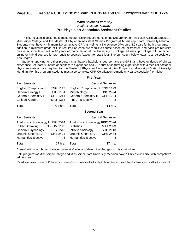# *Health Sciences Pathway Health-Related Pathway* **Pre-Physician Associate/Assistant Studies**

This curriculum is designed to meet the admission requirements of the Department of Physician Assistant Studies at Mississippi College and the Master of Physician Assistant Studies Program at Mississippi State University-Meridian. Students must have a minimum 3.0 cumulative GPA as well as a 3.0 science GPA on a 4.0 scale for both programs. In addition, a minimum grade of C is required on each pre-requisite course accepted for transfer, and each pre-requisite course must be taken within 10 years of matriculation at the University or College. Mississippi College will not accept online or hybrid courses for pre-requisite courses (except for statistics). The curriculum below leads to an Associate of Arts Degree.

Students applying for either program must have a bachelor's degree, take the GRE, and have evidence of clinical experience. At least 80 hours of healthcare experience and 20 hours of shadowing experience with a medical doctor or physician assistant are required for the Master of Physician Assistant studies Program at Mississippi State University-Meridian. For this program, students must also complete CPR Certification (American Heart Association) or higher.

#### **First Year**

| <b>First Semester</b>                                                                              |                                                                          |                                                                                                             | <b>Second Semester</b>                  |
|----------------------------------------------------------------------------------------------------|--------------------------------------------------------------------------|-------------------------------------------------------------------------------------------------------------|-----------------------------------------|
| <b>English Composition I</b><br>General Biology I<br><b>General Chemistry I</b><br>College Algebra | <b>ENG 1113</b><br><b>BIO 1134</b><br><b>CHE 1214</b><br><b>MAT 1313</b> | English Composition II ENG 1123<br>Microbiology<br><b>General Chemistry II</b><br><b>Fine Arts Elective</b> | <b>BIO 2924</b><br><b>CHE 1224</b><br>3 |
| Total                                                                                              | *14 hrs.                                                                 | Total<br><b>Connel Voor</b>                                                                                 | *14 hrs.                                |

#### **Second Year**

| <b>First Semester</b>                                                                                                                               |                                    | <b>Second Semester</b>                                                                                                                  |                                                     |
|-----------------------------------------------------------------------------------------------------------------------------------------------------|------------------------------------|-----------------------------------------------------------------------------------------------------------------------------------------|-----------------------------------------------------|
| Anatomy & Physiology I BIO 2514<br>Public Speaking I SPT/COM 1113<br>General Psychology<br><b>Organic Chemistry I</b><br><b>Humanities Elective</b> | <b>PSY 1513</b><br><b>CHE 2424</b> | Anatomy & Physiology IIBIO 2524<br><b>Statistics</b><br>Intro to Sociology<br><b>Organic Chemistry II</b><br><b>Humanities Elective</b> | <b>MAT 2323</b><br>SOC 2113<br><b>CHE 2434</b><br>3 |
| Total                                                                                                                                               | 17 hrs. .                          | Total                                                                                                                                   | 17 hrs.                                             |

Consult with your chosen transfer university/college to determine changes to this curriculum.

Both programs at Mississippi College and Mississippi State University-Meridian have a limited class size with competitive admissions.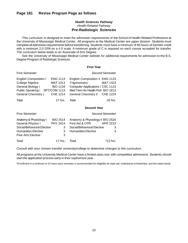# **Page 181 Revise Program Page as follows**

# *Health Sciences Pathway Health-Related Pathway* **Pre-Radiologic Sciences**

This curriculum is designed to meet the admission requirements of the School of Health-Related Professions at the University of Mississippi Medical Center. All programs at the Medical Center are upper division. Students must complete all admission requirements before transferring. Students must have a minimum of 60 hours of transfer credit with a minimum 2.0 GPA on a 4.0 scale. A minimum grade of C is required on each course accepted for transfer. The curriculum below leads to an Associate of Arts Degree.

See the University of Mississippi Medical Center website for additional requirements for admission to the B.S. Degree Program of Radiologic Sciences.

#### **First Year**

| <b>First Semester</b>                                                                                                                |                                                                          |                                                                                                                                                           | Second Semester |
|--------------------------------------------------------------------------------------------------------------------------------------|--------------------------------------------------------------------------|-----------------------------------------------------------------------------------------------------------------------------------------------------------|-----------------|
| <b>English Composition I</b><br>College Algebra<br>General Biology I<br>Public Speaking I SPT/COM 1113<br><b>General Chemistry I</b> | <b>ENG 1113</b><br><b>MAT 1313</b><br><b>BIO 1134</b><br><b>CHE 1214</b> | English Composition II ENG 1123<br>Trigonometry<br>Computer Applications I CSC 1123<br>Med Term for Health Prof BIO 1813<br>General Chemistry II CHE 1224 | MAT 1323        |
| Total                                                                                                                                | 17 hrs.                                                                  | Total                                                                                                                                                     | $16$ hrs.       |

## **Second Year**

Second Semester

|  | <b>First Semester</b> |
|--|-----------------------|
|--|-----------------------|

| Anatomy & Physiology I     | <b>BIO 2514</b>                  | Anatomy & Physiology II BIO 2524 |                 |
|----------------------------|----------------------------------|----------------------------------|-----------------|
| <b>General Physics I</b>   | PHY 2414                         | First Aid & CPR                  | <b>HPR 2213</b> |
| Social/Behavioral Elective | 3                                | Social/Behavioral Elective       |                 |
| <b>Humanities Elective</b> |                                  | <b>Humanities Elective</b>       |                 |
| <b>Fine Arts Elective</b>  | 3                                |                                  |                 |
| Total                      | 17 hrs. $\overline{\phantom{a}}$ | Total                            | $*13$ hrs       |

Consult with your chosen transfer university/college to determine changes to this curriculum.

All programs at the University Medical Center have a limited class size with competitive admissions. Students should start the application process early in their sophomore year.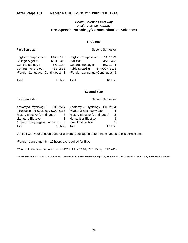# **After Page 181 Replace CHE 1213/1211 with CHE 1214**

# *Health Sciences Pathway Health-Related Pathway* **Pre-Speech Pathology/Communicative Sciences**

#### **First Year**

| <b>English Composition I</b>     | <b>ENG 1113</b> | English Composition II ENG 1123  |                 |
|----------------------------------|-----------------|----------------------------------|-----------------|
| College Algebra                  | <b>MAT 1313</b> | <b>Statistics</b>                | <b>MAT 2323</b> |
| General Biology I                | <b>BIO 1134</b> | <b>General Biology II</b>        | <b>BIO 1144</b> |
| General Psychology               | <b>PSY 1513</b> | Public Speaking I                | SPTCOM 1113     |
| *Foreign Language (Continuous) 3 |                 | *Foreign Language (Continuous) 3 |                 |
|                                  |                 |                                  |                 |
| Total                            | $16$ hrs.       | Total                            | $16$ hrs.       |

First Semester **Second Semester** Second Semester

#### **Second Year**

| <b>First Semester</b> |
|-----------------------|
|                       |

Second Semester

| Anatomy & Physiology I               | <b>BIO 2514</b> | Anatomy & Physiology II BIO 2524     |         |
|--------------------------------------|-----------------|--------------------------------------|---------|
| Introduction to Sociology SOC 2113   |                 | **Natural Science w/Lab              | 4       |
| <b>History Elective (Continuous)</b> |                 | <b>History Elective (Continuous)</b> | 3       |
| Literature Elective                  |                 | <b>Humanities Elective</b>           | 3       |
| *Foreign Language (Continuous) 3     |                 | <b>Fine Arts Elective</b>            | 3       |
| Total                                | 16 hrs.         | Total                                | 17 hrs. |

Consult with your chosen transfer university/college to determine changes to this curriculum.

\*Foreign Language: 6 – 12 hours are required for B.A.

\*\*Natural Science Electives: CHE 1214, PHY 2244, PHY 2254, PHY 2414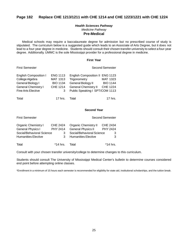# **Page 182 Replace CHE 1213/1211 with CHE 1214 and CHE 1223/1221 with CHE 1224**

## *Health Sciences Pathway Medicine Pathway* **Pre-Medical**

Medical schools may require a baccalaureate degree for admission but no prescribed course of study is stipulated. The curriculum below is a suggested guide which leads to an Associate of Arts Degree, but it does not lead to a four-year degree in medicine. Students should consult their chosen transfer university to select a four-year degree. Additionally, UMMC is the sole Mississippi provider for a professional degree in medicine.

#### **First Year**

| <b>First Semester</b>        |                 |                                 | <b>Second Semester</b> |
|------------------------------|-----------------|---------------------------------|------------------------|
| <b>English Composition I</b> | <b>ENG 1113</b> | English Composition II ENG 1123 |                        |
| College Algebra              | MAT 1313        | Trigonometry                    | MAT 1323               |
| General Biology I            | <b>BIO 1134</b> | General Biology II              | <b>BIO 1144</b>        |
| <b>General Chemistry I</b>   | <b>CHE 1214</b> | <b>General Chemistry II</b>     | CHE 1224               |

| Total | 17 hrs. Total | 17 hrs. |
|-------|---------------|---------|

Fine Arts Elective 3 Public Speaking I SPT/COM 1113

## **Second Year**

| <b>First Semester</b>      |                 | <b>Second Semester</b>      |                 |
|----------------------------|-----------------|-----------------------------|-----------------|
| Organic Chemistry I        | <b>CHE 2424</b> | <b>Organic Chemistry II</b> | <b>CHE 2434</b> |
| General Physics I          | PHY 2414        | <b>General Physics II</b>   | <b>PHY 2424</b> |
| Social/Behavioral Science  | 3               | Social/Behavioral Science   | З               |
| <b>Humanities Elective</b> |                 | <b>Humanities Elective</b>  | 3               |
| Total                      | *14 hrs.        | Total                       | *14 hrs.        |

Consult with your chosen transfer university/college to determine changes to this curriculum.

Students should consult The University of Mississippi Medical Center's bulletin to determine courses considered end point before attempting online classes.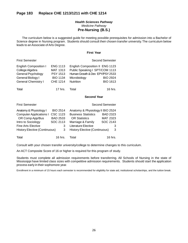# **Page 183 Replace CHE 1213/1211 with CHE 1214**

# *Health Sciences Pathway Medicine Pathway* **Pre-Nursing (B.S.)**

The curriculum below is a suggested guide for meeting possible prerequisites for admission into a Bachelor of Science degree in Nursing program. Students should consult their chosen transfer university. The curriculum below leads to an Associate of Arts Degree.

#### **First Year**

#### First Semester Second Semester Second Semester

| <b>English Composition I</b><br>College Algebra<br><b>General Psychology</b> | <b>ENG 1113</b><br>MAT 1313<br><b>PSY 1513</b> | English Composition II ENG 1123<br>Public Speaking I SPT/COM 1113<br>Human Growth & Dev EPY/PSY 2533 |                 |
|------------------------------------------------------------------------------|------------------------------------------------|------------------------------------------------------------------------------------------------------|-----------------|
| General Biology I                                                            | <b>BIO 1134</b>                                | Microbiology                                                                                         | <b>BIO 2924</b> |
| <b>General Chemistry I</b>                                                   | CHE 1214                                       | Nutrition                                                                                            | <b>BIO 1613</b> |
|                                                                              |                                                |                                                                                                      |                 |

Total 17 hrs. Total 16 hrs.

#### **Second Year**

| <b>First Semester</b>                |                 |                                      | <b>Second Semester</b> |
|--------------------------------------|-----------------|--------------------------------------|------------------------|
| Anatomy & Physiology I               | <b>BIO 2514</b> | Anatomy & Physiology II BIO 2524     |                        |
| <b>Computer Applications I</b>       | CSC 1123        | <b>Business Statistics</b>           | <b>BAD 2323</b>        |
| OR Comp App/Bus                      | <b>BAD 2533</b> | <b>OR Statistics</b>                 | <b>MAT 2323</b>        |
| Intro to Sociology                   | SOC 2113        | Marriage & Family                    | SOC 2143               |
| <b>Fine Arts Elective</b>            | 3               | Literature Elective                  | 3                      |
| <b>History Elective (Continuous)</b> | 3               | <b>History Elective (Continuous)</b> | 3                      |
| Total                                | $16$ hrs.       | Total                                | 16 hrs.                |

Consult with your chosen transfer university/college to determine changes to this curriculum.

An ACT Composite Score of 16 or higher is required for this program of study.

Students must complete all admission requirements before transferring. All Schools of Nursing in the state of Mississippi have limited class sizes with competitive admission requirements. Students should start the application process early in their sophomore year.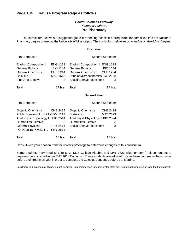# **Page 184 Revise Program Page as follows**

# *Health Sciences Pathway Pharmacy Pathway* **Pre-Pharmacy**

The curriculum below is a suggested guide for meeting possible prerequisites for admission into the Doctor of Pharmacy degree offered at the University of Mississippi. The curriculum below leads to an Associate of Arts Degree.

#### **First Year**

| <b>First Semester</b>                                                                                                                                                      |                                                                 |                                                                                                                                                        | Second Semester                              |
|----------------------------------------------------------------------------------------------------------------------------------------------------------------------------|-----------------------------------------------------------------|--------------------------------------------------------------------------------------------------------------------------------------------------------|----------------------------------------------|
| <b>English Composition I</b><br>General Biology I<br><b>General Chemistry I</b><br>Calculus I<br><b>Fine Arts Elective</b>                                                 | <b>ENG 1113</b><br><b>BIO 1134</b><br>CHE 1214<br>MAT 1613<br>3 | English Composition II ENG 1123<br>General Biology II<br>General Chemistry II CHE 1224<br>Princ of MicroeconomicsECO 2123<br>Social/Behavioral Science | <b>BIO 1144</b><br>З                         |
| Total                                                                                                                                                                      | $17$ hrs.                                                       | Total                                                                                                                                                  | 17 hrs.                                      |
|                                                                                                                                                                            |                                                                 | <b>Second Year</b>                                                                                                                                     |                                              |
| <b>First Semester</b>                                                                                                                                                      |                                                                 |                                                                                                                                                        | <b>Second Semester</b>                       |
| <b>Organic Chemistry I</b><br>Public Speaking I SPT/COM 1113<br>Anatomy & Physiology I<br><b>Humanities Elective</b><br><b>General Physics I</b><br>OR General Physics I-A | CHE 2424<br><b>BIO 2514</b><br>3<br>PHY 2414<br><b>PHY 2514</b> | Organic Chemistry II<br><b>Statistics</b><br>Anatomy & Physiology II BIO 2524<br><b>Humanities Elective</b><br>Social/Behavioral Science               | <b>CHE 2434</b><br><b>MAT 2323</b><br>3<br>3 |
| Total                                                                                                                                                                      | 18 hrs.                                                         | Total                                                                                                                                                  | 17 hrs.                                      |

Consult with your chosen transfer university/college to determine changes to this curriculum.

Some students may need to take MAT 1313 College Algebra and MAT 1323 Trigonometry (if placement score requires) prior to enrolling in MAT 1613 Calculus I. These students are advised to take these courses in the summer before their freshmen year in order to complete the Calculus sequence before transferring.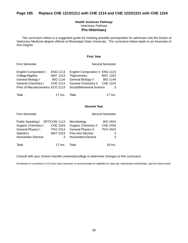# **Page 185 Replace CHE 1213/1211 with CHE 1214 and CHE 1223/1221 with CHE 1224**

# *Health Sciences Pathway Veterinary Pathway* **Pre-Veterinary**

The curriculum below is a suggested guide for meeting possible prerequisites for admission into the Doctor of Veterinary Medicine degree offered at Mississippi State University. The curriculum below leads to an Associate of Arts Degree.

# **First Year**

# First Semester **Second Semester** Second Semester

| <b>English Composition I</b>     | <b>ENG 1113</b> | English Composition II ENG 1123 |                 |
|----------------------------------|-----------------|---------------------------------|-----------------|
| College Algebra                  | MAT 1313        | Trigonometry                    | MAT 1323        |
| General Biology I                | <b>BIO 1134</b> | <b>General Biology II</b>       | <b>BIO 1144</b> |
| <b>General Chemistry I</b>       | <b>CHE 1214</b> | <b>General Chemistry II</b>     | <b>CHE 1224</b> |
| Princ of Macroeconomics ECO 2113 |                 | Social/Behavioral Science       |                 |
| Total                            | 17 hrs.         | Total                           | 17 hrs.         |

# **Second Year**

| <b>First Semester</b>      |                 | <b>Second Semester</b>      |                 |
|----------------------------|-----------------|-----------------------------|-----------------|
| Public Speaking I          | SPT/COM 1113    | Microbiology                | <b>BIO 2924</b> |
| <b>Organic Chemistry I</b> | <b>CHE 2424</b> | <b>Organic Chemistry II</b> | <b>CHE 2434</b> |
| General Physics I          | <b>PHY 2414</b> | <b>General Physics II</b>   | <b>PHY 2424</b> |
| <b>Statistics</b>          | <b>MAT 2323</b> | <b>Fine Arts Elective</b>   | 3               |
| <b>Humanities Elective</b> | 3               | <b>Humanities Elective</b>  | 3               |
| Total                      | $17$ hrs.       | Total                       | $18$ hrs.       |

Consult with your chosen transfer university/college to determine changes to this curriculum.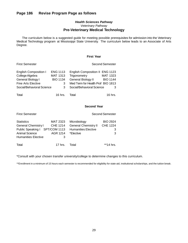# *Health Sciences Pathway Veterinary Pathway* **Pre-Veterinary Medical Technology**

The curriculum below is a suggested guide for meeting possible prerequisites for admission into the Veterinary Medical Technology program at Mississippi State University. The curriculum below leads to an Associate of Arts Degree.

# **First Year**

| <b>English Composition I</b> | <b>ENG 1113</b> | English Composition II ENG 1123   |                 |
|------------------------------|-----------------|-----------------------------------|-----------------|
| College Algebra              | MAT 1313        | Trigonometry                      | MAT 1323        |
| General Biology I            | <b>BIO 1134</b> | General Biology II                | <b>BIO 1144</b> |
| Fine Arts Elective           | 3               | Med Term for Health Prof BIO 1813 |                 |
| Social/Behavioral Science    | 3               | Social/Behavioral Science         |                 |
|                              |                 |                                   |                 |
| Total                        | 16 hrs.         | Total                             | $16$ hrs.       |

First Semester **Second Semester** Second Semester

# **Second Year**

| <b>First Semester</b>                                                                                                                    |                                                     | <b>Second Semester</b>                                                                 |                                              |
|------------------------------------------------------------------------------------------------------------------------------------------|-----------------------------------------------------|----------------------------------------------------------------------------------------|----------------------------------------------|
| <b>Statistics</b><br><b>General Chemistry I</b><br>Public Speaking I SPT/COM 1113<br><b>Animal Science</b><br><b>Humanities Elective</b> | <b>MAT 2323</b><br><b>CHE 1214</b><br>AGR 1214<br>3 | Microbiology<br><b>General Chemistry II</b><br><b>Humanities Elective</b><br>*Elective | <b>BIO 2924</b><br><b>CHE 1224</b><br>З<br>3 |
| Total                                                                                                                                    | 17 hrs.                                             | Total                                                                                  | **14 hrs                                     |

\*Consult with your chosen transfer university/college to determine changes to this curriculum.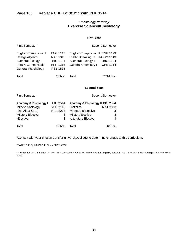# *Kinesiology Pathway* **Exercise Science/Kinesiology**

## **First Year**

| <b>First Semester</b>                                                                                             |                                                                                             |                                                                                                                        | Second Semester                    |
|-------------------------------------------------------------------------------------------------------------------|---------------------------------------------------------------------------------------------|------------------------------------------------------------------------------------------------------------------------|------------------------------------|
| <b>English Composition I</b><br>College Algebra<br>*General Biology I<br>Pers & Comm Health<br>General Psychology | <b>ENG 1113</b><br><b>MAT 1313</b><br><b>BIO 1134</b><br><b>HPR 1213</b><br><b>PSY 1513</b> | English Composition II ENG 1123<br>Public Speaking I SPT/COM 1113<br>*General Biology II<br><b>General Chemistry I</b> | <b>BIO 1144</b><br><b>CHE 1214</b> |
| Total                                                                                                             | 16 hrs.                                                                                     | Total                                                                                                                  | ***14 hrs.                         |

## **Second Year**

| <b>First Semester</b>  |                 |                                  | <b>Second Semester</b> |
|------------------------|-----------------|----------------------------------|------------------------|
| Anatomy & Physiology I | <b>BIO 2514</b> | Anatomy & Physiology II BIO 2524 |                        |
| Intro to Sociology     | SOC 2113        | <b>Statistics</b>                | <b>MAT 2323</b>        |
| First Aid & CPR        | <b>HPR 2213</b> | **Fine Arts Elective             | З                      |
| *History Elective      | 3               | *History Elective                | 3                      |
| *Elective              | 3               | *Literature Elective             | 3                      |
| Total                  | 16 hrs.         | T∩tal                            | $16$ hrs.              |

\*Consult with your chosen transfer university/college to determine changes to this curriculum.

\*\*ART 1113, MUS 1113, or SPT 2233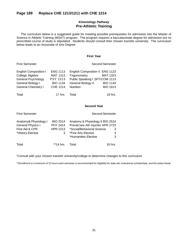# **Page 189 Replace CHE 1213/1211 with CHE 1214**

# *Kinesiology Pathway* **Pre-Athletic Training**

The curriculum below is a suggested guide for meeting possible prerequisites for admission into the Master of Science in Athletic Training (MSAT) program. The program requires a baccalaureate degree for admission but no prescribed course of study is stipulated. Students should consult their chosen transfer university. The curriculum below leads to an Associate of Arts Degree.

#### **First Year**

| <b>English Composition I</b> | <b>ENG 1113</b> | English Composition II ENG 1123 |                 |
|------------------------------|-----------------|---------------------------------|-----------------|
| College Algebra              | <b>MAT 1313</b> | Trigonometry                    | MAT 1323        |
| General Psychology           | <b>PSY 1513</b> | Public Speaking I SPT/COM 1113  |                 |
| General Biology I            | <b>BIO 1134</b> | <b>General Biology II</b>       | <b>BIO 1144</b> |
| <b>General Chemistry I</b>   | <b>CHE 1214</b> | Nutrition                       | <b>BIO 1613</b> |
|                              |                 |                                 |                 |
| Total                        | $17$ hrs.       | Total                           | 16 hrs.         |

First Semester Second Semester Second Semester

#### **Second Year**

| <b>First Semester</b>                                                                     |                                                            | <b>Second Semester</b>                                                                                                                           |             |
|-------------------------------------------------------------------------------------------|------------------------------------------------------------|--------------------------------------------------------------------------------------------------------------------------------------------------|-------------|
| Anatomy& Physiology I<br><b>General Physics I</b><br>First Aid & CPR<br>*History Elective | <b>BIO 2514</b><br><b>PHY 2414</b><br><b>HPR 2213</b><br>3 | Anatomy & Physiology II BIO 2524<br>Prev&Care Ath Injuries HPR 2723<br>*Social/Behavioral Science<br>*Fine Arts Elective<br>*Humanities Elective | 3<br>3<br>3 |
| Total                                                                                     | $*14$ hrs.                                                 | Total                                                                                                                                            | $16$ hrs.   |

\*Consult with your chosen transfer university/college to determine changes to this curriculum.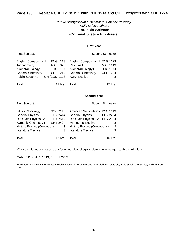# **Page 193 Replace CHE 1213/1211 with CHE 1214 and CHE 1223/1221 with CHE 1224**

# *Public Safety/Social & Behavioral Science Pathway Public Safety Pathway* **Forensic Science (Criminal Justice Emphasis)**

# **First Year**

| <b>English Composition I</b> | <b>ENG 1113</b> | English Composition II ENG 1123 |                 |
|------------------------------|-----------------|---------------------------------|-----------------|
| Trigonometry                 | MAT 1323        | Calculus I                      | MAT 1613        |
| *General Biology I           | <b>BIO 1134</b> | *General Biology II             | <b>BIO 1144</b> |
| <b>General Chemistry I</b>   | CHE 1214        | <b>General Chemistry II</b>     | <b>CHE 1224</b> |
| <b>Public Speaking</b>       | SPT/COM 1113    | *CRJ Elective                   |                 |
|                              |                 |                                 |                 |
| Total                        | $17$ hrs.       | Total                           | $17$ hrs.       |

First Semester Second Semester Second Semester

## **Second Year**

| <b>First Semester</b>    |          |                                         | <b>Second Semester</b> |
|--------------------------|----------|-----------------------------------------|------------------------|
| Intro to Sociology       | SOC 2113 | <b>American National Gov't PSC 1113</b> |                        |
| <b>General Physics I</b> | PHY 2414 | <b>General Physics II</b>               | <b>PHY 2424</b>        |

| 11110010000000000                    | <u>UUU LIIU</u> | $\overline{ }$ , $\overline{ }$ , $\overline{ }$ , $\overline{ }$ , $\overline{ }$ , $\overline{ }$ , $\overline{ }$ , $\overline{ }$ , $\overline{ }$ , $\overline{ }$ , $\overline{ }$ , $\overline{ }$ , $\overline{ }$ , $\overline{ }$ , $\overline{ }$ , $\overline{ }$ , $\overline{ }$ , $\overline{ }$ , $\overline{ }$ , $\overline{ }$ , $\overline{ }$ , $\overline{ }$ , $\overline{ }$ , $\overline{ }$ , $\overline{$ |          |
|--------------------------------------|-----------------|--------------------------------------------------------------------------------------------------------------------------------------------------------------------------------------------------------------------------------------------------------------------------------------------------------------------------------------------------------------------------------------------------------------------------------------|----------|
| General Physics I                    | PHY 2414        | <b>General Physics II</b>                                                                                                                                                                                                                                                                                                                                                                                                            | PHY 2424 |
| OR Gen Physics I-A                   | PHY 2514        | OR Gen Physics II-A PHY 2524                                                                                                                                                                                                                                                                                                                                                                                                         |          |
| *Organic Chemistry I                 | <b>CHE 2424</b> | **Fine Arts Elective                                                                                                                                                                                                                                                                                                                                                                                                                 | 3        |
| <b>History Elective (Continuous)</b> | 3               | History Elective (Continuous)                                                                                                                                                                                                                                                                                                                                                                                                        | 3        |
| Literature Elective                  |                 | Literature Elective                                                                                                                                                                                                                                                                                                                                                                                                                  | 3        |
| Total                                | 17 hrs.         | Total                                                                                                                                                                                                                                                                                                                                                                                                                                | 16 hrs.  |

\*Consult with your chosen transfer university/college to determine changes to this curriculum.

\*\*ART 1113, MUS 1113, or SPT 2233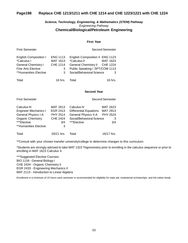# **Page198 Replace CHE 1213/1211 with CHE 1214 and CHE 1223/1221 with CHE 1224**

# *Science, Technology, Engineering, & Mathematics (STEM) Pathway Engineering Pathway* **Chemical/Biological/Petroleum Engineering**

#### **First Year**

| <b>First Semester</b>                                                                                                    |                                                   |                                                                                                                                                 | <b>Second Semester</b> |
|--------------------------------------------------------------------------------------------------------------------------|---------------------------------------------------|-------------------------------------------------------------------------------------------------------------------------------------------------|------------------------|
| <b>English Composition I</b><br>*Calculus I<br><b>General Chemistry I</b><br>Fine Arts Elective<br>**Humanities Elective | <b>ENG 1113</b><br>MAT 1613<br>CHE 1214<br>3<br>3 | English Composition II ENG 1123<br>*Calculus II<br>General Chemistry II CHE 1224<br>Public Speaking I SPT/COM 1113<br>Social/Behavioral Science | MAT 1623<br>3          |
| Total                                                                                                                    | 16 hrs                                            | Total                                                                                                                                           | 16 hrs                 |

#### **Second Year**

| <b>First Semester</b>       |                 |                                 | Second Semester |
|-----------------------------|-----------------|---------------------------------|-----------------|
| Calculus III                | MAT 2613        | Calculus IV                     | MAT 2623        |
| <b>Engineer Mechanics I</b> | EGR 2413        | Differential Equations MAT 2913 |                 |
| General Physics I-A         | <b>PHY 2514</b> | <b>General Physics II-A</b>     | <b>PHY 2524</b> |
| <b>Organic Chemistry</b>    | CHE 2424        | Social/Behavioral Science       | 3               |
| ***Elective                 | 3/4             | ***Elective                     | 3/4             |
| **Humanities Elective       | 3               |                                 |                 |
|                             |                 |                                 |                 |
| Total                       | 20/21 hrs.      | Total                           | 16/17 hrs.      |

\*\*Consult with your chosen transfer university/college to determine changes to this curriculum.

\*Students are strongly advised to take MAT 1323 Trigonometry prior to enrolling in the calculus sequence or prior to enrolling in MAT 1623 Calculus II.

\*\*\*Suggested Elective Courses: BIO 1134 - General Biology I CHE 2434 - Organic Chemistry II EGR 2433 - Engineering Mechanics II MAT 2113 - Introduction to Linear Algebra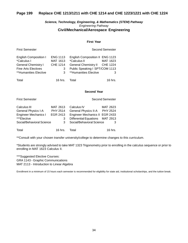# **Page 199 Replace CHE 1213/1211 with CHE 1214 and CHE 1223/1221 with CHE 1224**

# *Science, Technology, Engineering, & Mathematics (STEM) Pathway Engineering Pathway* **Civil/Mechanical/Aerospace Engineering**

## **First Year**

| <b>English Composition I</b> | <b>ENG 1113</b> | English Composition II ENG 1123 |          |
|------------------------------|-----------------|---------------------------------|----------|
| *Calculus I                  | MAT 1613        | <i>*Calculus II</i>             | MAT 1623 |
| <b>General Chemistry I</b>   | <b>CHE 1214</b> | General Chemistry II CHE 1224   |          |
| <b>Fine Arts Electives</b>   | 3               | Public Speaking I SPT/COM 1113  |          |
| **Humanities Elective        | 3               | **Humanities Elective           | 3        |
|                              |                 |                                 |          |
| Total                        | $16$ hrs.       | Total                           | 16 hrs   |

First Semester **Second Semester** Second Semester

#### **Second Year**

Second Semester

| <b>First Semester</b> |
|-----------------------|
|                       |

| Calculus III                | MAT 2613        | Calculus IV                     | MAT 2623  |
|-----------------------------|-----------------|---------------------------------|-----------|
| <b>General Physics I-A</b>  | <b>PHY 2514</b> | General Physics II-A PHY 2524   |           |
| <b>Engineer Mechanics I</b> | EGR 2413        | Engineer Mechanics II EGR 2433  |           |
| ***Elective                 | 3               | Differential Equations MAT 2913 |           |
| Social/Behavioral Science   | 3               | Social/Behavioral Science       | 3         |
| Total                       | 16 hrs.         | Total                           | $16$ hrs. |

\*\*Consult with your chosen transfer university/college to determine changes to this curriculum.

\*Students are strongly advised to take MAT 1323 Trigonometry prior to enrolling in the calculus sequence or prior to enrolling in MAT 1623 Calculus II.

\*\*\*Suggested Elective Courses: GRA 1143 - Graphic Communications MAT 2113 - Introduction to Linear Algebra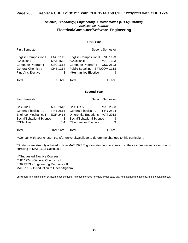# **Page 200 Replace CHE 1213/1211 with CHE 1214 and CHE 1223/1221 with CHE 1224**

# *Science, Technology, Engineering, & Mathematics (STEM) Pathway Engineering Pathway* **Electrical/Computer/Software Engineering**

#### **First Year**

| <b>English Composition I</b> | <b>ENG 1113</b> | English Composition II ENG 1123 |          |
|------------------------------|-----------------|---------------------------------|----------|
| *Calculus I                  | MAT 1613        | <i>*Calculus II</i>             | MAT 1623 |
| Computer Program I           | CSC 1613        | Computer Program II CSC 2623    |          |
| <b>General Chemistry I</b>   | CHE 1214        | Public Speaking I SPT/COM 1113  |          |
| <b>Fine Arts Elective</b>    | 3               | **Humanities Elective           | 3        |
|                              |                 |                                 |          |
| Total                        | 16 hrs.         | Total                           | 15 hrs.  |

First Semester **Second Semester** Second Semester

#### **Second Year**

Second Semester

| Calculus III                | MAT 2613        | Calculus IV                     | MAT 2623 |
|-----------------------------|-----------------|---------------------------------|----------|
| General Physics I-A         | <b>PHY 2514</b> | General Physics II-A            | PHY 2524 |
| <b>Engineer Mechanics I</b> | EGR 2413        | Differential Equations MAT 2913 |          |
| Social/Behavioral Science   | 3               | Social/Behavioral Science       | 3        |
| ***Elective                 | 3/4             | **Humanities Elective           | 3        |
| Total                       | 16/17 hrs.      | Total                           | 16 hrs.  |

\*\*Consult with your chosen transfer university/college to determine changes to this curriculum.

\*Students are strongly advised to take MAT 1323 Trigonometry prior to enrolling in the calculus sequence or prior to enrolling in MAT 1623 Calculus II.

\*\*\*Suggested Elective Courses: CHE 1224 - General Chemistry II EGR 2433 - Engineering Mechanics II MAT 2113 - Introduction to Linear Algebra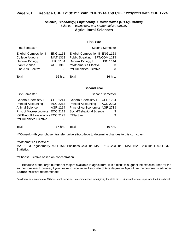# **Page 201 Replace CHE 1213/1211 with CHE 1214 and CHE 1223/1221 with CHE 1224**

# *Science, Technology, Engineering, & Mathematics (STEM) Pathway Science, Technology, and Mathematics Pathway* **Agricultural Sciences**

#### **First Year**

| <b>First Semester</b>                                                                                              |                                                                        |                                                                                                                                            | <b>Second Semester</b>    |
|--------------------------------------------------------------------------------------------------------------------|------------------------------------------------------------------------|--------------------------------------------------------------------------------------------------------------------------------------------|---------------------------|
| <b>English Composition I</b><br>College Algebra<br>General Biology I<br><b>Plant Science</b><br>Fine Arts Elective | <b>ENG 1113</b><br><b>MAT 1313</b><br><b>BIO 1134</b><br>AGR 1313<br>3 | English Composition II ENG 1123<br>Public Speaking I SPT/COM 1113<br>General Biology II<br>*Mathematics Elective<br>***Humanities Elective | <b>BIO 1144</b><br>3<br>3 |
| Total                                                                                                              | 16 hrs.                                                                | Total                                                                                                                                      | 16 hrs.                   |

#### **Second Year**

| <b>First Semester</b>                                                 |                                         |                                                                                | <b>Second Semester</b>      |
|-----------------------------------------------------------------------|-----------------------------------------|--------------------------------------------------------------------------------|-----------------------------|
| <b>General Chemistry I</b><br>Princ of Accounting I<br>Animal Science | <b>CHE 1214</b><br>ACC 2213<br>AGR 1214 | <b>General Chemistry II</b><br>Princ of Accounting II                          | <b>CHE 1224</b><br>ACC 2223 |
| <b>Princ of Macroeconomics</b><br>OR Princ of Microeconomics ECO 2123 | ECO 2113                                | Princ of Ag Economics AGR 2713<br>Social/Behavioral Science<br>З<br>**Elective |                             |
| ***Humanities Elective                                                | 3                                       |                                                                                |                             |
| Total                                                                 | 17 hrs.                                 | Total                                                                          | 16 hrs.                     |

\*\*\*Consult with your chosen transfer university/college to determine changes to this curriculum.

## \*Mathematics Electives:

MAT 1323 Trigonometry, MAT 1513 Business Calculus, MAT 1613 Calculus I, MAT 1623 Calculus II, MAT 2323 **Statistics** 

\*\*Choose Elective based on concentration.

Because of the large number of majors available in agriculture, it is difficult to suggest the exact courses for the sophomore year. However, if you desire to receive an Associate of Arts degree in Agriculture the courses listed under **Second Year** are recommended.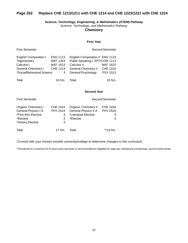# **Page 202 Replace CHE 1213/1211 with CHE 1214 and CHE 1223/1221 with CHE 1224**

# *Science, Technology, Engineering, & Mathematics (STEM) Pathway Science, Technology, and Mathematics Pathway* **Chemistry**

#### **First Year**

| <b>First Semester</b>                        |                             | Second Semester                                                   |                 |
|----------------------------------------------|-----------------------------|-------------------------------------------------------------------|-----------------|
| <b>English Composition I</b><br>Trigonometry | <b>ENG 1113</b><br>MAT 1323 | English Composition II ENG 1123<br>Public Speaking I SPT/COM 1113 |                 |
| Calculus I                                   | MAT 1613                    | Calculus II                                                       | MAT 1623        |
| <b>General Chemistry I</b>                   | <b>CHE 1214</b>             | <b>General Chemistry II</b>                                       | <b>CHE 1224</b> |
| *Social/Behavioral Science<br>3              |                             | General Psychology                                                | <b>PSY 1513</b> |
| Total                                        | $16$ hrs.                   | Total                                                             | $16$ hrs.       |
|                                              |                             | <b>Second Year</b>                                                |                 |
| <b>First Semester</b>                        |                             |                                                                   | Second Semester |
| <b>Organic Chemistry I</b>                   | CHE 2424                    | Organic Chemistry II                                              | <b>CHE 2434</b> |
| General Physics I-A                          | PHY 2514                    | <b>General Physics II-A</b>                                       | <b>PHY 2524</b> |
| *Fine Arts Elective                          | 3                           | *Literature Elective                                              | 3               |

# \*Elective 3 \*Elective 3 3 \*HistoryElective 3 Total **17 hrs.** Total **17 hrs.** Total **17 hrs.**

\*Consult with your chosen transfer university/college to determine changes to this curriculum.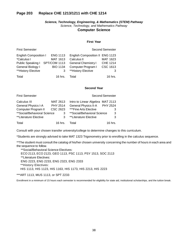# **Page 203 Replace CHE 1213/1211 with CHE 1214**

# *Science, Technology, Engineering, & Mathematics (STEM) Pathway Science, Technology, and Mathematics Pathway* **Computer Science**

## **First Year**

| <b>First Semester</b>                                                                                                    |                                                     |                                                                                                                          | <b>Second Semester</b>                              |
|--------------------------------------------------------------------------------------------------------------------------|-----------------------------------------------------|--------------------------------------------------------------------------------------------------------------------------|-----------------------------------------------------|
| <b>English Composition I</b><br>*Calculus I<br>Public Speaking I SPT/COM 1113<br>General Biology I<br>**History Elective | <b>ENG 1113</b><br>MAT 1613<br><b>BIO 1134</b><br>3 | English Composition II ENG 1123<br>Calculus II<br><b>General Chemistry I</b><br>Computer Program I<br>**History Elective | MAT 1623<br><b>CHE 1214</b><br><b>CSC 1613</b><br>3 |
| Total                                                                                                                    | $16$ hrs.                                           | Total                                                                                                                    | $16$ hrs.                                           |

#### **Second Year**

| <b>First Semester</b>       |          | <b>Second Semester</b>           |         |
|-----------------------------|----------|----------------------------------|---------|
| Calculus III                | MAT 2613 | Intro to Linear Algebra MAT 2113 |         |
| <b>General Physics I-A</b>  | PHY 2514 | General Physics II-A PHY 2524    |         |
| Computer Program II         | CSC 2623 | ***Fine Arts Elective            | 3       |
| **Social/Behavioral Science | 3        | **Social/Behavioral Science*     | 3       |
| **Literature Elective       | 3        | **Literature Elective            | 3       |
| Total                       | 16 hrs.  | Total                            | 16 hrs. |

Consult with your chosen transfer university/college to determine changes to this curriculum.

\*Students are strongly advised to take MAT 1323 Trigonometry prior to enrolling in the calculus sequence.

\*\*The student must consult the catalog of his/her chosen university concerning the number of hours in each area and the sequence to follow.

 \*\*Social/Behavioral Science Electives: ECO 2113, ECO 2123, GEO 1113, PSC 1113, PSY 1513, SOC 2113 \*\*Literature Electives: ENG 2223, ENG 2233, ENG 2323, ENG 2333 \*\*History Electives: HIS 1113, HIS 1123, HIS 1163, HIS 1173, HIS 2213, HIS 2223

\*\*\*ART 1113, MUS 1113, or SPT 2233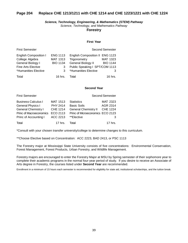# **Page 204 Replace CHE 1213/1211 with CHE 1214 and CHE 1223/1221 with CHE 1224**

*Science, Technology, Engineering, & Mathematics (STEM) Pathway Science, Technology, and Mathematics Pathway*

# **Forestry**

## **First Year**

| <b>First Semester</b>        |                 |                                 | <b>Second Semester</b> |
|------------------------------|-----------------|---------------------------------|------------------------|
| <b>English Composition I</b> | <b>ENG 1113</b> | English Composition II ENG 1123 |                        |
| College Algebra              | MAT 1313        | Trigonometry                    | MAT 1323               |
| General Biology I            | <b>BIO 1134</b> | <b>General Biology II</b>       | <b>BIO 1144</b>        |
| <b>Fine Arts Elective</b>    | 3               | Public Speaking I SPT/COM 1113  |                        |
| *Humanities Elective         | 3               | *Humanities Elective            | 3                      |
| Total                        | $16$ hrs.       | Total                           | $16$ hrs.              |

#### **Second Year**

| <b>First Semester</b>          |                 |                                  | <b>Second Semester</b> |
|--------------------------------|-----------------|----------------------------------|------------------------|
| <b>Business Calculus I</b>     | <b>MAT 1513</b> | <b>Statistics</b>                | MAT 2323               |
| General Physics I              | <b>PHY 2414</b> | <b>Basic Soils</b>               | AGR 2314               |
| <b>General Chemistry I</b>     | <b>CHE 1214</b> | <b>General Chemistry II</b>      | <b>CHE 1224</b>        |
| <b>Princ of Macroeconomics</b> | ECO 2113        | Princ of Microeconomics ECO 2123 |                        |
| Princ of Accounting I          | ACC 2213        | **Elective                       | 3                      |
| Total                          | $17$ hrs.       | Total                            | $17$ hrs.              |

\*Consult with your chosen transfer university/college to determine changes to this curriculum.

\*\*Choose Elective based on Concentration: ACC 2223, BAD 2413, or PSC 1113

The Forestry major at Mississippi State University consists of five concentrations: Environmental Conservation, Forest Management, Forest Products, Urban Forestry, and Wildlife Management.

Forestry majors are encouraged to enter the Forestry Major at MSU by Spring semester of their sophomore year to complete their academic programs in the normal four-year period of study. If you desire to receive an Associate of Arts degree in Forestry, the courses listed under **Second Year** are recommended.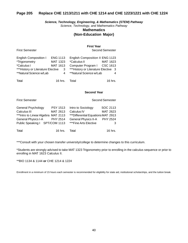# **Page 205 Replace CHE 1213/1211 with CHE 1214 and CHE 1223/1221 with CHE 1224**

*Science, Technology, Engineering, & Mathematics (STEM) Pathway*

*Science, Technology, and Mathematics Pathway*

# **Mathematics**

# **(Non-Education Major)**

**First Year**

First Semester **Second Semester** Second Semester

| <b>English Composition I</b>       | <b>ENG 1113</b>         | English Composition II ENG 1123     |          |
|------------------------------------|-------------------------|-------------------------------------|----------|
| *Trigonometry                      | MAT 1323                | <i>*Calculus II</i>                 | MAT 1623 |
| *Calculus I                        | MAT 1613                | Computer Program I CSC 1613         |          |
| *** History or Literature Elective | $\overline{\mathbf{3}}$ | ***History or Literature Elective 3 |          |
| **Natural Science w/Lab            | 4                       | **Natural Science w/Lab             |          |
|                                    |                         |                                     |          |
| Total                              | 16 hrs.                 | Total                               | 16 hrs.  |

#### **Second Year**

First Semester Second Semester

| General Psychology                   | <b>PSY 1513</b> | Intro to Sociology                 | SOC 2113 |
|--------------------------------------|-----------------|------------------------------------|----------|
| Calculus III                         | MAT 2613        | Calculus IV                        | MAT 2623 |
| *** Intro to Linear Algebra MAT 2113 |                 | ***Differential Equations MAT 2913 |          |
| General Physics I-A PHY 2514         |                 | General Physics II-A PHY 2524      |          |
| Public Speaking I SPT/COM 1113       |                 | ***Fine Arts Elective              |          |
| Total                                | 16 hrs.         | Total                              | 16 hrs.  |

\*\*\*Consult with your chosen transfer university/college to determine changes to this curriculum.

\*Students are strongly advised to take MAT 1323 Trigonometry prior to enrolling in the calculus sequence or prior to enrolling in MAT 1623 Calculus II.

\*\*BIO 1134 & 1144 **or** CHE 1214 & 1224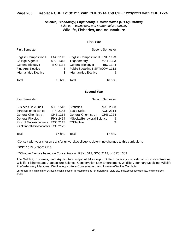# **Page 206 Replace CHE 1213/1211 with CHE 1214 and CHE 1223/1221 with CHE 1224**

# *Science, Technology, Engineering, & Mathematics (STEM) Pathway Science, Technology, and Mathematics Pathway* **Wildlife, Fisheries, and Aquaculture**

#### **First Year**

| <b>First Semester</b>                                                                                       |                                                                 | Second Semester                                                                                                                 |                                         |
|-------------------------------------------------------------------------------------------------------------|-----------------------------------------------------------------|---------------------------------------------------------------------------------------------------------------------------------|-----------------------------------------|
| English Composition I<br>College Algebra<br>General Biology I<br>Fine Arts Elective<br>*Humanities Elective | <b>ENG 1113</b><br><b>MAT 1313</b><br><b>BIO 1134</b><br>3<br>3 | English Composition II ENG 1123<br>Trigonometry<br>General Biology II<br>Public Speaking I SPT/COM 1113<br>*Humanities Elective | <b>MAT 1323</b><br><b>BIO 1144</b><br>3 |
| Total                                                                                                       | $16$ hrs.                                                       | Total                                                                                                                           | $16$ hrs.                               |
|                                                                                                             |                                                                 | <b>Second Year</b>                                                                                                              |                                         |
| <b>First Semester</b>                                                                                       |                                                                 | Second Semester                                                                                                                 |                                         |

| <b>Business Calculus I</b>          | <b>MAT 1513</b> | <b>Statistics</b>           | MAT 2323  |
|-------------------------------------|-----------------|-----------------------------|-----------|
| Introduction to Ethics              | PHI 2143        | <b>Basic Soils</b>          | AGR 2314  |
| <b>General Chemistry I</b>          | <b>CHE 1214</b> | <b>General Chemistry II</b> | CHE 1224  |
| General Physics I                   | <b>PHY 2414</b> | **Social/Behavioral Science | 3         |
| Princ of Macroeconomics ECO 2113    |                 | ***Elective                 | 3         |
| OR Princ of Microeconomics ECO 2123 |                 |                             |           |
| Total                               | 17 hrs.         | Total                       | $17$ hrs. |

\*Consult with your chosen transfer university/college to determine changes to this curriculum.

\*\*PSY 1513 or SOC 2113

\*\*\*Choose Elective based on Concentration: PSY 1513, SOC 2113, or CRJ 1383

The Wildlife, Fisheries, and Aquaculture major at Mississippi State University consists of six concentrations: Wildlife, Fisheries and Aquaculture Science, Conservation Law Enforcement, Wildlife Veterinary Medicine, Wildlife Pre-Veterinary Medicine, Wildlife Agriculture Conservation, and Human-Wildlife Conflicts.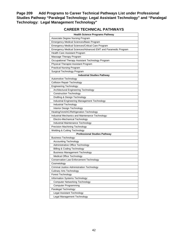**Page 209 Add Programs to Career Technical Pathways List under Professional Studies Pathway "Paralegal Technology: Legal Assistant Technology" and "Paralegal Technology: Legal Management Technology"**

# **CAREER TECHNICAL PATHWAYS**

| <b>Health Science Programs Pathway</b>                        |
|---------------------------------------------------------------|
| Associate Degree Nursing Program                              |
| Emergency Medical Sciences/Basic Program                      |
| Emergency Medical Sciences/Critical Care Program              |
| Emergency Medical Sciences/Advanced EMT and Paramedic Program |
| Health Care Assistant Program                                 |
| Massage Therapy Program                                       |
| Occupational Therapy Assistant Technology Program             |
| Physical Therapist Assistant Program                          |
| <b>Practical Nursing Program</b>                              |
| Surgical Technology Program                                   |
| <b>Industrial Studies Pathway</b>                             |
| Automotive Technology                                         |
| <b>Collision Repair Technology</b>                            |
| <b>Engineering Technology:</b>                                |
| Architectural Engineering Technology                          |
| <b>Construction Technology</b>                                |
| Drafting & Design Technology                                  |
| Industrial Engineering Management Technology                  |
| Industrial Technology                                         |
| Interior Design Technology                                    |
| Heating/Vent/AC/Refrigeration Technology                      |
| Industrial Mechanics and Maintenance Technology:              |
| Electro-Mechanical Technology                                 |
| Industrial Maintenance Technology                             |
| Precision Machining Technology                                |
| Welding & Cutting Technology                                  |
| <b>Professional Studies Pathway</b>                           |
| Business Technology:                                          |
| <b>Accounting Technology</b>                                  |
| Administrative Office Technology                              |
| Billing & Coding Technology                                   |
| <b>Business Management Technology</b>                         |
| Medical Office Technology                                     |
| <b>Conservation Law Enforcement Technology</b>                |
| Cosmetology                                                   |
| Criminal Justice Administration Technology                    |
| <b>Culinary Arts Technology</b>                               |
| Forest Technology                                             |
| Information Systems Technology:                               |
| <b>Computer Networking Technology</b>                         |
| <b>Computer Programming</b>                                   |
| Paralegal Technology:                                         |
| Legal Assistant Technology                                    |
| Legal Management Technology                                   |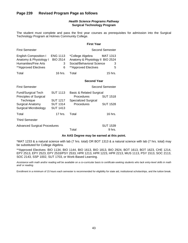# *Health Science Programs Pathway* **Surgical Technology Program**

The student must complete and pass the first year courses as prerequisites for admission into the Surgical Technology Program at Holmes Community College.

|                                                                                                                                    |                                                                          | <b>First Year</b>                                                                                         |                                    |
|------------------------------------------------------------------------------------------------------------------------------------|--------------------------------------------------------------------------|-----------------------------------------------------------------------------------------------------------|------------------------------------|
| <b>First Semester</b>                                                                                                              |                                                                          |                                                                                                           | Second Semester                    |
| <b>English Composition I</b><br>Anatomy & Physiology I<br><b>Humanities/Fine Arts</b><br>**Approved Electives                      | <b>ENG 1113</b><br><b>BIO 2514</b><br>3<br>6                             | *College Algebra<br>Anatomy & Physiology II BIO 2524<br>Social/Behavioral Science<br>**Approved Electives | MAT 1313<br>3<br>5                 |
| Total                                                                                                                              | 16 hrs.                                                                  | Total                                                                                                     | $15$ hrs.                          |
|                                                                                                                                    |                                                                          | <b>Second Year</b>                                                                                        |                                    |
| <b>First Semester</b>                                                                                                              |                                                                          |                                                                                                           | <b>Second Semester</b>             |
| <b>Fund/Surgical Tech</b><br><b>Principles of Surgical</b><br>Technique<br><b>Surgical Anatomy</b><br><b>Surgical Microbiology</b> | <b>SUT 1113</b><br><b>SUT 1217</b><br><b>SUT 1314</b><br><b>SUT 1413</b> | <b>Basic &amp; Related Surgical</b><br>Procedures<br>Specialized Surgical<br>Procedures                   | <b>SUT 1518</b><br><b>SUT 1528</b> |
| Total                                                                                                                              | $17$ hrs.                                                                | Total                                                                                                     | 16 hrs.                            |
| <b>Third Semester</b>                                                                                                              |                                                                          |                                                                                                           |                                    |
| <b>Advanced Surgical Procedures</b>                                                                                                |                                                                          | Total                                                                                                     | <b>SUT 1539</b><br>9 hrs.          |

## **An AAS Degree may be earned at this point.**

\*MAT 1233 & a natural science with lab (7 hrs. total) OR BOT 1313 & a natural science with lab (7 hrs. total) may be substituted for College Algebra.

\*\*Approved Electives: BIO 1134, BIO 1144, BIO 1613, BIO 1813, BIO 2924, BOT 1613, BOT 1623, CHE 1214, EPY 2513, EPY 2523, EPY 2533/PSY 2533, HPR 1213, HPR 1223, HPR 2213, MUS 1113, PSY 1513, SOC 2113, SOC 2143, SSP 1002, SUT 1703, or Work-Based Learning.

Assistance with math and/or reading will be available on a co-curricular basis to certificate-seeking students who lack entry-level skills in math *and/ or reading.*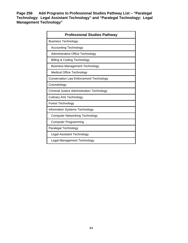**Page 256 Add Programs to Professional Studies Pathway List – "Paralegal Technology: Legal Assistant Technology" and "Paralegal Technology: Legal Management Technology"**

| <b>Professional Studies Pathway</b>            |
|------------------------------------------------|
| <b>Business Technology:</b>                    |
| <b>Accounting Technology</b>                   |
| Administrative Office Technology               |
| Billing & Coding Technology                    |
| Business Management Technology                 |
| <b>Medical Office Technology</b>               |
| <b>Conservation Law Enforcement Technology</b> |
| Cosmetology                                    |
| Criminal Justice Administration Technology     |
| <b>Culinary Arts Technology</b>                |
| <b>Forest Technology</b>                       |
| Information Systems Technology:                |
| <b>Computer Networking Technology</b>          |
| <b>Computer Programming</b>                    |
| Paralegal Technology                           |
| Legal Assistant Technology                     |
| Legal Management Technology                    |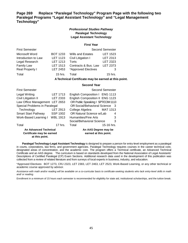# **Page 269 Replace "Paralegal Technology" Program Page with the following two Paralegal Programs "Legal Assistant Technology" and "Legal Management Technology"**

# *Professional Studies Pathway* **Paralegal Technology Legal Assistant Technology**

#### **First Year**

| <b>First Semester</b> |                 |                          | <b>Second Semester</b> |
|-----------------------|-----------------|--------------------------|------------------------|
| Microsoft Word        | <b>BOT 1233</b> | <b>Wills and Estates</b> | <b>LET 1523</b>        |
| Introduction to Law   | <b>LET 1123</b> | Civil Litigation I       | LET 2313               |
| Legal Research        | <b>LET 1213</b> | Torts                    | <b>LET 2323</b>        |
| Family Law            | <b>LET 1513</b> | Contracts & Bus. Law     | <b>LET 2373</b>        |
| Real Property I       | LET 2453        | *Approved Electives      | 3                      |
| Total                 | $15$ hrs.       | Total                    | $15$ hrs.              |

#### **ATechnical Certificate may be earned at this point.**

#### **Second Year**

| <b>First Semester</b>                                                       |          |                                               | <b>Second Semester</b> |   |
|-----------------------------------------------------------------------------|----------|-----------------------------------------------|------------------------|---|
| Legal Writing                                                               | LET 1713 | English Composition I ENG 1113                |                        |   |
| Civil Litigation II                                                         | LET 2333 | English Composition II ENG 1123               |                        |   |
| Law Office Management LET 2653                                              |          | OR Public Speaking I SPT/COM 1113             |                        |   |
| Special Problems in Paralegal                                               |          | OR Social/Behavioral Science 3                |                        |   |
| Technology                                                                  | LET 2913 | College Algebra                               | MAT 1313               |   |
| <b>Smart Start Pathway</b>                                                  | SSP 1002 | OR Natural Science w/Lab                      |                        | 4 |
| Work-Based Learning I WBL 1913                                              |          | Humanities/Fine Arts                          |                        | 3 |
|                                                                             |          | Social/Behavioral Science                     |                        | 3 |
| Total                                                                       | 17 hrs.  | Total                                         | 15-16 hrs.             |   |
| <b>An Advanced Technical</b><br>Certificate may be earned<br>at this point. |          | An AAS Degree may be<br>earned at this point. |                        |   |

**Paralegal Technology-Legal Assistant Technology** is designed to prepare a person for entry-level employment as a paralegal in courts, corporations, law firms, and government agencies. Paralegal Technology requires courses in the career technical core, designated areas of concentration, and the academic core. The program offers a Technical certificate, an Advanced Technical Certificate and an AAS degree. The curriculum is based on standards developed from the National Association of Legal Assistants' Descriptions of Certified Paralegal (CP) Exam Sections. Additional research data used in the development of this publication was collected from a review of related literature and from surveys of local experts in business, industry, and education.

\*Approved Electives: BOT 1273, CRJ 2323, LET 2383, LET 2463, LET 2523, Work-Based Learning, or any other technical or academic course approved by advisor.

*Assistance with math and/or reading will be available on a co-curricular basis to certificate-seeking students who lack entry-level skills in math and/ or reading.*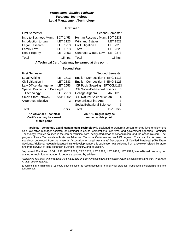# *Professional Studies Pathway* **Paralegal Technology Legal Management Technology**

#### **First Year**

| <b>First Semester</b>  |                 |                              | <b>Second Semester</b> |
|------------------------|-----------------|------------------------------|------------------------|
| Intro to Business Mgmt | <b>BOT 1453</b> | Human Resource Mgmt BOT 2233 |                        |
| Introduction to Law    | <b>LET 1123</b> | <b>Wills and Estates</b>     | <b>LET 1523</b>        |
| Legal Research         | <b>LET 1213</b> | Civil Litigation I           | LET 2313               |
| <b>Family Law</b>      | <b>LET 1513</b> | Torts                        | <b>LET 2323</b>        |
| Real Property I        | LET 2453        | Contracts & Bus. Law         | <b>LET 2373</b>        |
| Total                  | 15 hrs.         | Total                        | 15 hrs.                |

**ATechnical Certificate may be earned at this point.**

#### **Second Year**

| <b>First Semester</b>                                                       |                 | Second Semester                               |            |
|-----------------------------------------------------------------------------|-----------------|-----------------------------------------------|------------|
| Legal Writing                                                               | <b>LET 1713</b> | English Composition I ENG 1113                |            |
| Civil Litigation II                                                         | <b>LET 2333</b> | English Composition II ENG 1123               |            |
| OR Public Speaking I SPT/COM 1113<br>Law Office Management LET 2653         |                 |                                               |            |
| Special Problems in Paralegal                                               |                 | OR Social/Behavioral Science<br>- 3           |            |
| Technology                                                                  | LET 2913        | College Algebra MAT 1313                      |            |
| <b>Smart Start Pathway</b>                                                  | SSP 1002        | OR Natural Science w/Lab                      |            |
| *Approved Elective                                                          | 3               | Humanities/Fine Arts                          | 3          |
|                                                                             |                 | Social/Behavioral Science                     | 3          |
| Total                                                                       | $17$ hrs.       | Total                                         | 15-16 hrs. |
| <b>An Advanced Technical</b><br>Certificate may be earned<br>at this point. |                 | An AAS Degree may be<br>earned at this point. |            |

**Paralegal Technology-Legal Management Technology** is designed to prepare a person for entry-level employment as a law office manager assistant or paralegal in courts, corporations, law firms, and government agencies. Paralegal Technology requires courses in the career technical core, designated areas of concentration, and the academic core. The program offers a Technical certificate, an Advanced Technical Certificate and an AAS degree. The curriculum is based on standards developed from the National Association of Legal Assistants' Descriptions of Certified Paralegal (CP) Exam Sections. Additional research data used in the development of this publication was collected from a review of related literature and from surveys of local experts in business, industry, and education.

\*Approved Electives: BOT 1233, BOT 1273, CRJ 2323, LET 2383, LET 2463, LET 2523, Work-Based Learning, or any other technical or academic course approved by advisor.

*Assistance with math and/or reading will be available on a co-curricular basis to certificate-seeking students who lack entry-level skills in math and/ or reading.*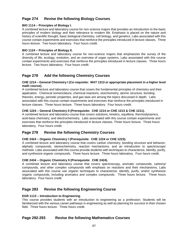# **Page 274 Revise the following Biology Courses**

# **BIO 1114 – Principles of Biology I.**

A combined lecture and laboratory course for non-science majors that provides an introduction to the basic principles of modern biology and their relevance to modern life. Emphasis is placed on the nature and history of scientific thought, basic biological chemistry, cell biology, and genetics. Labs associated with this course contain experiments and exercises that reinforce the principles introduced in lecture classes. Three hours lecture. Two hours laboratory. Four hours credit.

# **BIO 1124 – Principles of Biology II.**

A combined lecture and laboratory course for non-science majors that emphasizes the survey of the diversity of life, ecology, evolution, and an overview of organ systems. Labs associated with this course contain experiments and exercises that reinforce the principles introduced in lecture classes. Three hours lecture. Two hours laboratory. Four hours credit.

# **Page 278 Add the following Chemistry Courses**

# **CHE 1214 – General Chemistry I (Co-requisite: MAT 1313 or appropriate placement in a higher level math course).**

A combined lecture and laboratory course that covers the fundamental principles of chemistry and their application. Chemical nomenclature, chemical reactions, stoichiometry, atomic structure, bonding theories, energy, periodic properties, and gas laws are among the topics discussed in depth. Labs associated with this course contain experiments and exercises that reinforce the principles introduced in lecture classes. Three hours lecture. Three hours laboratory. Four hours credit.

# **CHE 1224 – General Chemistry II (Prerequisite: CHE 1214 or CHE 1213 & CHE 1211).**

A combined lecture and laboratory course that covers solutions, kinetics, equilibria, thermodynamics, acid-base chemistry, and electrochemistry. Labs associated with this course contain experiments and exercises that reinforce the principles introduced in lecture classes. Three hours lecture. Three hours laboratory. Four hours credit.

# **Page 278 Revise the following Chemistry Courses**

# **CHE 2424 – Organic Chemistry I (Prerequisite: CHE 1224 or CHE 1223).**

A combined lecture and laboratory course that covers carbon chemistry, bonding structure and behavior, aliphatic compounds, stereochemistry, reaction mechanisms, and an introduction to spectroscopic methods. Labs associated with this course provide students with techniques to characterize, identify, purify, and synthesize organic compounds. Three hours lecture. Three hours laboratory. Four hours credit.

# **CHE 2434 – Organic Chemistry II (Prerequisite: CHE 2424).**

A combined lecture and laboratory course that covers spectroscopy, aromatic compounds, carbonyl compounds, and other complex compounds with emphasis on reactions and their mechanisms. Labs associated with this course use organic techniques to characterize, identify, purify, and/or synthesize organic compounds, including aromatics and complex compounds. Three hours lecture. Three hours laboratory. Four hours credit.

# **Page 283 Revise the following Engineering Course**

# **EGR 1113 – Introduction to Engineering.**

This course provides students with an introduction to engineering as a profession. Students will be familiarized with the various career pathways in engineering as well as planning for success in their chosen field. Three hours lecture. Three hours credit.

# **Page 292-293 Revise the following Mathematics Courses**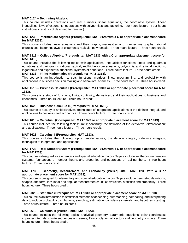## **MAT 0124 – Beginning Algebra.**

This course includes operations with real numbers, linear equations, the coordinate system, linear inequalities, laws of exponents, operations with polynomials, and factoring. Four hours lecture. Four hours institutional credit. (Not designed to transfer.)

## **MAT 1233 – Intermediate Algebra (Prerequisite: MAT 0124 with a C or appropriate placement score for MAT 1233).**

This course includes linear equations and their graphs; inequalities and number line graphs; rational expressions; factoring; laws of exponents; radicals; polynomials. Three hours lecture. Three hours credit.

#### **MAT 1313 – College Algebra (Prerequisite: MAT 1233 with a C or appropriate placement score for MAT 1313).**

This course includes the following topics with applications: inequalities; functions; linear and quadratic equations, and their graphs; rational, radical, and higher-order equations; polynomial and rational functions; logarithmic and exponential functions; systems of equations. Three hours lecture. Three hours credit.

## **MAT 1333 – Finite Mathematics (Prerequisite: MAT 1313).**

This course is an introduction to sets, functions, matrices, linear programming, and probability with applications in business decision making and behavioral sciences. Three hours lecture. Three hours credit.

#### **MAT 1513 – Business Calculus I (Prerequisite: MAT 1313 or appropriate placement score for MAT 1323).**

This course is a study of functions, limits, continuity, derivatives, and their applications to business and economics. Three hours lecture. Three hours credit.

## **MAT 1523 – Business Calculus II (Prerequisite: MAT 1513).**

This course is a study of antiderivatives, techniques of integration, applications of the definite integral, and applications to business and economics. Three hours lecture. Three hours credit.

#### **MAT 1613 – Calculus I (Co-requisite: MAT 1323 or appropriate placement score for MAT 1613).**

This course includes the following topics: limits; continuity; the definition of the derivative; differentiation; and applications. Three hours lecture. Three hours credit.

## **MAT 1623 – Calculus II (Prerequisite: MAT 1613).**

This course includes the following topics: antiderivatives, the definite integral, indefinite integrals, techniques of integration, and applications.

#### **MAT 1723 – Real Number System (Prerequisite: MAT 0124 with a C or appropriate placement score for MAT 1233).**

This course is designed for elementary and special education majors. Topics include set theory, numeration systems, foundations of number theory, and properties and operations of real numbers. Three hours lecture. Three hours credit.

## **MAT 1733 – Geometry, Measurement, and Probability (Prerequisite: MAT 1233 with a C or appropriate placement score for MAT 1313).**

This course is designed for elementary and special education majors. Topics include geometric definitions, shapes, and formulas; linear and angular measurements; unit conversions, statistics and probability. Three hours lecture. Three hours credit.

#### **MAT 2323 – Statistics (Prerequisite: MAT 1313 or appropriate placement score of MAT 1613).**

This course is an introduction to statistical methods of describing, summarizing, comparing, and interpreting data to include probability distributions, sampling, estimation, confidence intervals, and hypothesis testing. Three hours lecture. Three hours credit.

## **MAT 2613 – Calculus III (Prerequisite: MAT 1623).**

This course includes the following topics: analytical geometry; parametric equations; polar coordinates; improper integrals, infinite sequences and series; Taylor polynomial, vectors and geometry of space. Three hours lecture. Three hours credit.